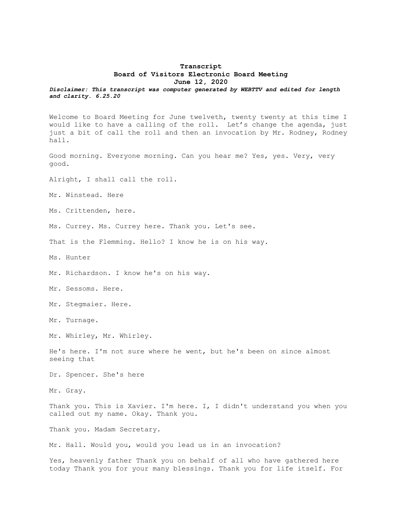## **Transcript Board of Visitors Electronic Board Meeting June 12, 2020**

*Disclaimer: This transcript was computer generated by WEBTTV and edited for length and clarity. 6.25.20*

Welcome to Board Meeting for June twelveth, twenty twenty at this time I would like to have a calling of the roll. Let's change the agenda, just just a bit of call the roll and then an invocation by Mr. Rodney, Rodney hall.

Good morning. Everyone morning. Can you hear me? Yes, yes. Very, very good.

Alright, I shall call the roll.

Mr. Winstead. Here

Ms. Crittenden, here.

Ms. Currey. Ms. Currey here. Thank you. Let's see.

That is the Flemming. Hello? I know he is on his way.

Ms. Hunter

Mr. Richardson. I know he's on his way.

Mr. Sessoms. Here.

Mr. Stegmaier. Here.

Mr. Turnage.

Mr. Whirley, Mr. Whirley.

He's here. I'm not sure where he went, but he's been on since almost seeing that

Dr. Spencer. She's here

Mr. Gray.

Thank you. This is Xavier. I'm here. I, I didn't understand you when you called out my name. Okay. Thank you.

Thank you. Madam Secretary.

Mr. Hall. Would you, would you lead us in an invocation?

Yes, heavenly father Thank you on behalf of all who have gathered here today Thank you for your many blessings. Thank you for life itself. For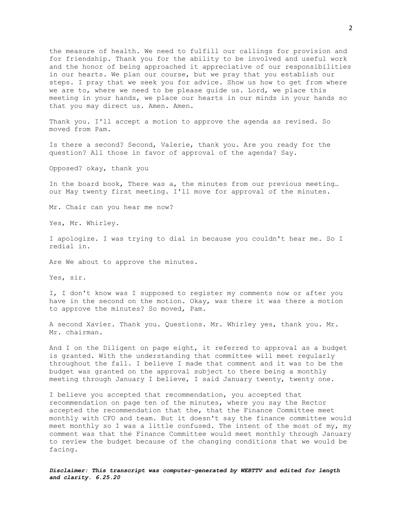the measure of health. We need to fulfill our callings for provision and for friendship. Thank you for the ability to be involved and useful work and the honor of being approached it appreciative of our responsibilities in our hearts. We plan our course, but we pray that you establish our steps. I pray that we seek you for advice. Show us how to get from where we are to, where we need to be please guide us. Lord, we place this meeting in your hands, we place our hearts in our minds in your hands so that you may direct us. Amen. Amen.

Thank you. I'll accept a motion to approve the agenda as revised. So moved from Pam.

Is there a second? Second, Valerie, thank you. Are you ready for the question? All those in favor of approval of the agenda? Say.

Opposed? okay, thank you

In the board book, There was a, the minutes from our previous meeting… our May twenty first meeting. I'll move for approval of the minutes.

Mr. Chair can you hear me now?

Yes, Mr. Whirley.

I apologize. I was trying to dial in because you couldn't hear me. So I redial in.

Are We about to approve the minutes.

Yes, sir.

I, I don't know was I supposed to register my comments now or after you have in the second on the motion. Okay, was there it was there a motion to approve the minutes? So moved, Pam.

A second Xavier. Thank you. Questions. Mr. Whirley yes, thank you. Mr. Mr. chairman.

And I on the Diligent on page eight, it referred to approval as a budget is granted. With the understanding that committee will meet regularly throughout the fall. I believe I made that comment and it was to be the budget was granted on the approval subject to there being a monthly meeting through January I believe, I said January twenty, twenty one.

I believe you accepted that recommendation, you accepted that recommendation on page ten of the minutes, where you say the Rector accepted the recommendation that the, that the Finance Committee meet monthly with CFO and team. But it doesn't say the finance committee would meet monthly so I was a little confused. The intent of the most of my, my comment was that the Finance Committee would meet monthly through January to review the budget because of the changing conditions that we would be facing.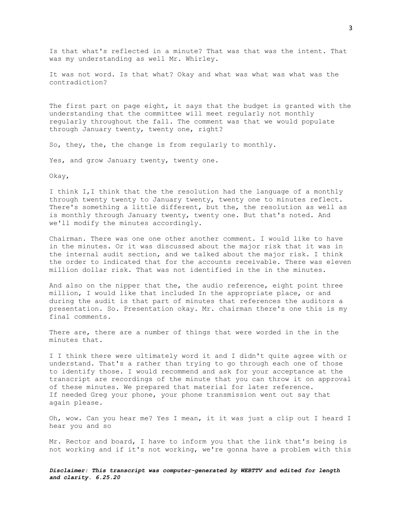Is that what's reflected in a minute? That was that was the intent. That was my understanding as well Mr. Whirley.

It was not word. Is that what? Okay and what was what was what was the contradiction?

The first part on page eight, it says that the budget is granted with the understanding that the committee will meet regularly not monthly regularly throughout the fall. The comment was that we would populate through January twenty, twenty one, right?

So, they, the, the change is from regularly to monthly.

Yes, and grow January twenty, twenty one.

Okay,

I think I,I think that the the resolution had the language of a monthly through twenty twenty to January twenty, twenty one to minutes reflect. There's something a little different, but the, the resolution as well as is monthly through January twenty, twenty one. But that's noted. And we'll modify the minutes accordingly.

Chairman. There was one one other another comment. I would like to have in the minutes. Or it was discussed about the major risk that it was in the internal audit section, and we talked about the major risk. I think the order to indicated that for the accounts receivable. There was eleven million dollar risk. That was not identified in the in the minutes.

And also on the nipper that the, the audio reference, eight point three million, I would like that included In the appropriate place, or and during the audit is that part of minutes that references the auditors a presentation. So. Presentation okay. Mr. chairman there's one this is my final comments.

There are, there are a number of things that were worded in the in the minutes that.

I I think there were ultimately word it and I didn't quite agree with or understand. That's a rather than trying to go through each one of those to identify those. I would recommend and ask for your acceptance at the transcript are recordings of the minute that you can throw it on approval of these minutes. We prepared that material for later reference. If needed Greg your phone, your phone transmission went out say that again please.

Oh, wow. Can you hear me? Yes I mean, it it was just a clip out I heard I hear you and so

Mr. Rector and board, I have to inform you that the link that's being is not working and if it's not working, we're gonna have a problem with this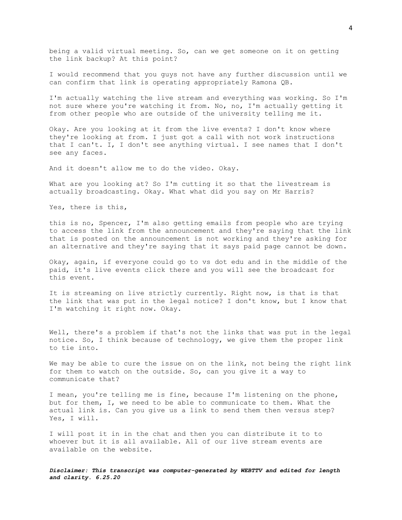being a valid virtual meeting. So, can we get someone on it on getting the link backup? At this point?

I would recommend that you guys not have any further discussion until we can confirm that link is operating appropriately Ramona QB.

I'm actually watching the live stream and everything was working. So I'm not sure where you're watching it from. No, no, I'm actually getting it from other people who are outside of the university telling me it.

Okay. Are you looking at it from the live events? I don't know where they're looking at from. I just got a call with not work instructions that I can't. I, I don't see anything virtual. I see names that I don't see any faces.

And it doesn't allow me to do the video. Okay.

What are you looking at? So I'm cutting it so that the livestream is actually broadcasting. Okay. What what did you say on Mr Harris?

Yes, there is this,

this is no, Spencer, I'm also getting emails from people who are trying to access the link from the announcement and they're saying that the link that is posted on the announcement is not working and they're asking for an alternative and they're saying that it says paid page cannot be down.

Okay, again, if everyone could go to vs dot edu and in the middle of the paid, it's live events click there and you will see the broadcast for this event.

It is streaming on live strictly currently. Right now, is that is that the link that was put in the legal notice? I don't know, but I know that I'm watching it right now. Okay.

Well, there's a problem if that's not the links that was put in the legal notice. So, I think because of technology, we give them the proper link to tie into.

We may be able to cure the issue on on the link, not being the right link for them to watch on the outside. So, can you give it a way to communicate that?

I mean, you're telling me is fine, because I'm listening on the phone, but for them, I, we need to be able to communicate to them. What the actual link is. Can you give us a link to send them then versus step? Yes, I will.

I will post it in in the chat and then you can distribute it to to whoever but it is all available. All of our live stream events are available on the website.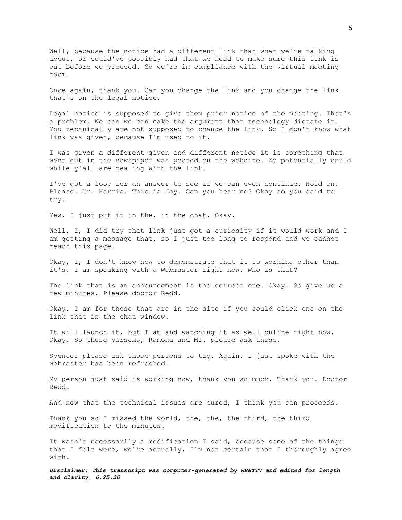Well, because the notice had a different link than what we're talking about, or could've possibly had that we need to make sure this link is out before we proceed. So we're in compliance with the virtual meeting room.

Once again, thank you. Can you change the link and you change the link that's on the legal notice.

Legal notice is supposed to give them prior notice of the meeting. That's a problem. We can we can make the argument that technology dictate it. You technically are not supposed to change the link. So I don't know what link was given, because I'm used to it.

I was given a different given and different notice it is something that went out in the newspaper was posted on the website. We potentially could while y'all are dealing with the link.

I've got a loop for an answer to see if we can even continue. Hold on. Please. Mr. Harris. This is Jay. Can you hear me? Okay so you said to try.

Yes, I just put it in the, in the chat. Okay.

Well, I, I did try that link just got a curiosity if it would work and I am getting a message that, so I just too long to respond and we cannot reach this page.

Okay, I, I don't know how to demonstrate that it is working other than it's. I am speaking with a Webmaster right now. Who is that?

The link that is an announcement is the correct one. Okay. So give us a few minutes. Please doctor Redd.

Okay, I am for those that are in the site if you could click one on the link that in the chat window.

It will launch it, but I am and watching it as well online right now. Okay. So those persons, Ramona and Mr. please ask those.

Spencer please ask those persons to try. Again. I just spoke with the webmaster has been refreshed.

My person just said is working now, thank you so much. Thank you. Doctor Redd.

And now that the technical issues are cured, I think you can proceeds.

Thank you so I missed the world, the, the, the third, the third modification to the minutes.

It wasn't necessarily a modification I said, because some of the things that I felt were, we're actually, I'm not certain that I thoroughly agree with.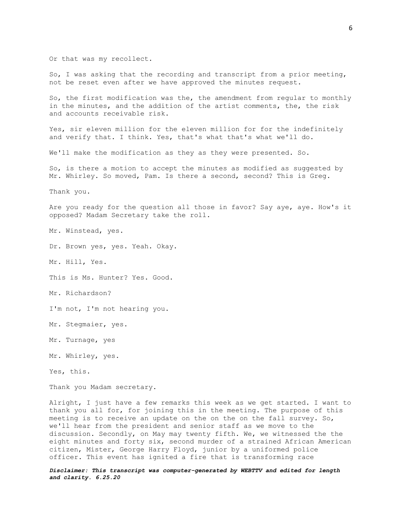Or that was my recollect.

So, I was asking that the recording and transcript from a prior meeting, not be reset even after we have approved the minutes request.

So, the first modification was the, the amendment from regular to monthly in the minutes, and the addition of the artist comments, the, the risk and accounts receivable risk.

Yes, sir eleven million for the eleven million for for the indefinitely and verify that. I think. Yes, that's what that's what we'll do.

We'll make the modification as they as they were presented. So.

So, is there a motion to accept the minutes as modified as suggested by Mr. Whirley. So moved, Pam. Is there a second, second? This is Greg.

Thank you.

Are you ready for the question all those in favor? Say aye, aye. How's it opposed? Madam Secretary take the roll.

Mr. Winstead, yes.

Dr. Brown yes, yes. Yeah. Okay.

Mr. Hill, Yes.

This is Ms. Hunter? Yes. Good.

Mr. Richardson?

I'm not, I'm not hearing you.

Mr. Stegmaier, yes.

Mr. Turnage, yes

Mr. Whirley, yes.

Yes, this.

Thank you Madam secretary.

Alright, I just have a few remarks this week as we get started. I want to thank you all for, for joining this in the meeting. The purpose of this meeting is to receive an update on the on the on the fall survey. So, we'll hear from the president and senior staff as we move to the discussion. Secondly, on May may twenty fifth. We, we witnessed the the eight minutes and forty six, second murder of a strained African American citizen, Mister, George Harry Floyd, junior by a uniformed police officer. This event has ignited a fire that is transforming race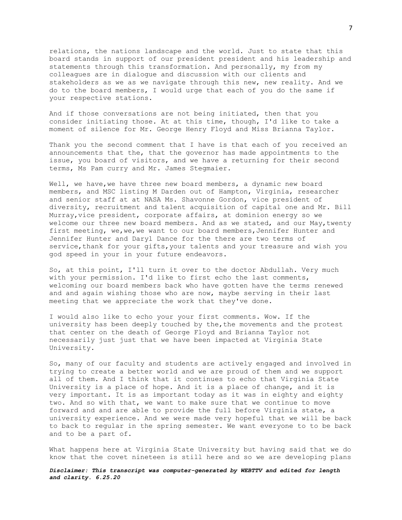relations, the nations landscape and the world. Just to state that this board stands in support of our president president and his leadership and statements through this transformation. And personally, my from my colleagues are in dialogue and discussion with our clients and stakeholders as we as we navigate through this new, new reality. And we do to the board members, I would urge that each of you do the same if your respective stations.

And if those conversations are not being initiated, then that you consider initiating those. At at this time, though, I'd like to take a moment of silence for Mr. George Henry Floyd and Miss Brianna Taylor.

Thank you the second comment that I have is that each of you received an announcements that the, that the governor has made appointments to the issue, you board of visitors, and we have a returning for their second terms, Ms Pam curry and Mr. James Stegmaier.

Well, we have, we have three new board members, a dynamic new board members, and MSC listing M Darden out of Hampton, Virginia, researcher and senior staff at at NASA Ms. Shavonne Gordon, vice president of diversity, recruitment and talent acquisition of capital one and Mr. Bill Murray, vice president, corporate affairs, at dominion energy so we welcome our three new board members. And as we stated, and our May,twenty first meeting, we, we, we want to our board members, Jennifer Hunter and Jennifer Hunter and Daryl Dance for the there are two terms of service, thank for your gifts, your talents and your treasure and wish you god speed in your in your future endeavors.

So, at this point, I'll turn it over to the doctor Abdullah. Very much with your permission. I'd like to first echo the last comments, welcoming our board members back who have gotten have the terms renewed and and again wishing those who are now, maybe serving in their last meeting that we appreciate the work that they've done.

I would also like to echo your your first comments. Wow. If the university has been deeply touched by the,the movements and the protest that center on the death of George Floyd and Brianna Taylor not necessarily just just that we have been impacted at Virginia State University.

So, many of our faculty and students are actively engaged and involved in trying to create a better world and we are proud of them and we support all of them. And I think that it continues to echo that Virginia State University is a place of hope. And it is a place of change, and it is very important. It is as important today as it was in eighty and eighty two. And so with that, we want to make sure that we continue to move forward and and are able to provide the full before Virginia state, a university experience. And we were made very hopeful that we will be back to back to regular in the spring semester. We want everyone to to be back and to be a part of.

What happens here at Virginia State University but having said that we do know that the covet nineteen is still here and so we are developing plans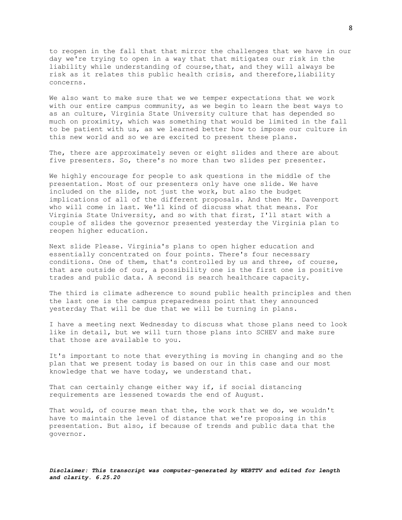to reopen in the fall that that mirror the challenges that we have in our day we're trying to open in a way that that mitigates our risk in the liability while understanding of course,that, and they will always be risk as it relates this public health crisis, and therefore,liability concerns.

We also want to make sure that we we temper expectations that we work with our entire campus community, as we begin to learn the best ways to as an culture, Virginia State University culture that has depended so much on proximity, which was something that would be limited in the fall to be patient with us, as we learned better how to impose our culture in this new world and so we are excited to present these plans.

The, there are approximately seven or eight slides and there are about five presenters. So, there's no more than two slides per presenter.

We highly encourage for people to ask questions in the middle of the presentation. Most of our presenters only have one slide. We have included on the slide, not just the work, but also the budget implications of all of the different proposals. And then Mr. Davenport who will come in last. We'll kind of discuss what that means. For Virginia State University, and so with that first, I'll start with a couple of slides the governor presented yesterday the Virginia plan to reopen higher education.

Next slide Please. Virginia's plans to open higher education and essentially concentrated on four points. There's four necessary conditions. One of them, that's controlled by us and three, of course, that are outside of our, a possibility one is the first one is positive trades and public data. A second is search healthcare capacity.

The third is climate adherence to sound public health principles and then the last one is the campus preparedness point that they announced yesterday That will be due that we will be turning in plans.

I have a meeting next Wednesday to discuss what those plans need to look like in detail, but we will turn those plans into SCHEV and make sure that those are available to you.

It's important to note that everything is moving in changing and so the plan that we present today is based on our in this case and our most knowledge that we have today, we understand that.

That can certainly change either way if, if social distancing requirements are lessened towards the end of August.

That would, of course mean that the, the work that we do, we wouldn't have to maintain the level of distance that we're proposing in this presentation. But also, if because of trends and public data that the governor.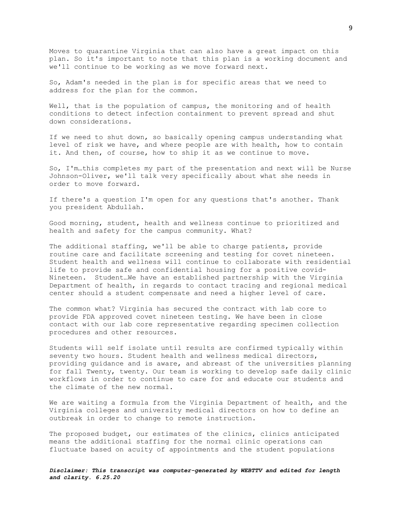Moves to quarantine Virginia that can also have a great impact on this plan. So it's important to note that this plan is a working document and we'll continue to be working as we move forward next.

So, Adam's needed in the plan is for specific areas that we need to address for the plan for the common.

Well, that is the population of campus, the monitoring and of health conditions to detect infection containment to prevent spread and shut down considerations.

If we need to shut down, so basically opening campus understanding what level of risk we have, and where people are with health, how to contain it. And then, of course, how to ship it as we continue to move.

So, I'm…this completes my part of the presentation and next will be Nurse Johnson-Oliver, we'll talk very specifically about what she needs in order to move forward.

If there's a question I'm open for any questions that's another. Thank you president Abdullah.

Good morning, student, health and wellness continue to prioritized and health and safety for the campus community. What?

The additional staffing, we'll be able to charge patients, provide routine care and facilitate screening and testing for covet nineteen. Student health and wellness will continue to collaborate with residential life to provide safe and confidential housing for a positive covid-Nineteen. Student…We have an established partnership with the Virginia Department of health, in regards to contact tracing and regional medical center should a student compensate and need a higher level of care.

The common what? Virginia has secured the contract with lab core to provide FDA approved covet nineteen testing. We have been in close contact with our lab core representative regarding specimen collection procedures and other resources.

Students will self isolate until results are confirmed typically within seventy two hours. Student health and wellness medical directors, providing guidance and is aware, and abreast of the universities planning for fall Twenty, twenty. Our team is working to develop safe daily clinic workflows in order to continue to care for and educate our students and the climate of the new normal.

We are waiting a formula from the Virginia Department of health, and the Virginia colleges and university medical directors on how to define an outbreak in order to change to remote instruction.

The proposed budget, our estimates of the clinics, clinics anticipated means the additional staffing for the normal clinic operations can fluctuate based on acuity of appointments and the student populations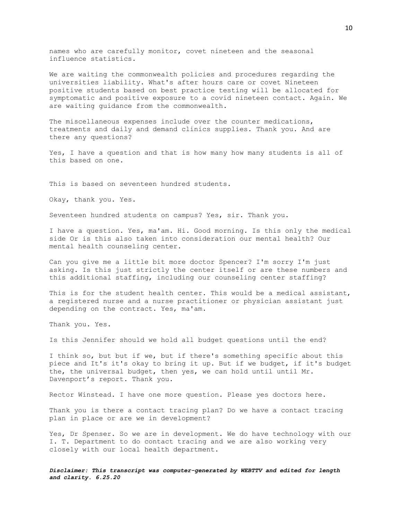names who are carefully monitor, covet nineteen and the seasonal influence statistics.

We are waiting the commonwealth policies and procedures regarding the universities liability. What's after hours care or covet Nineteen positive students based on best practice testing will be allocated for symptomatic and positive exposure to a covid nineteen contact. Again. We are waiting guidance from the commonwealth.

The miscellaneous expenses include over the counter medications, treatments and daily and demand clinics supplies. Thank you. And are there any questions?

Yes, I have a question and that is how many how many students is all of this based on one.

This is based on seventeen hundred students.

Okay, thank you. Yes.

Seventeen hundred students on campus? Yes, sir. Thank you.

I have a question. Yes, ma'am. Hi. Good morning. Is this only the medical side Or is this also taken into consideration our mental health? Our mental health counseling center.

Can you give me a little bit more doctor Spencer? I'm sorry I'm just asking. Is this just strictly the center itself or are these numbers and this additional staffing, including our counseling center staffing?

This is for the student health center. This would be a medical assistant, a registered nurse and a nurse practitioner or physician assistant just depending on the contract. Yes, ma'am.

Thank you. Yes.

Is this Jennifer should we hold all budget questions until the end?

I think so, but but if we, but if there's something specific about this piece and It's it's okay to bring it up. But if we budget, if it's budget the, the universal budget, then yes, we can hold until until Mr. Davenport's report. Thank you.

Rector Winstead. I have one more question. Please yes doctors here.

Thank you is there a contact tracing plan? Do we have a contact tracing plan in place or are we in development?

Yes, Dr Spenser. So we are in development. We do have technology with our I. T. Department to do contact tracing and we are also working very closely with our local health department.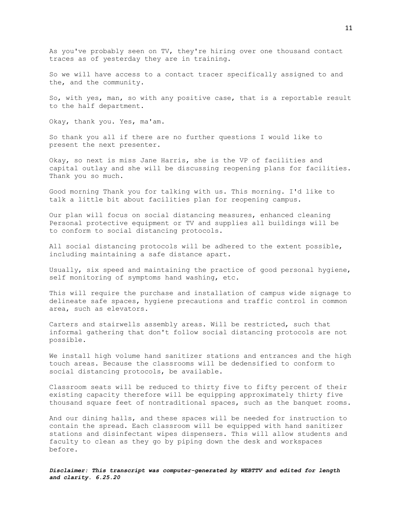As you've probably seen on TV, they're hiring over one thousand contact traces as of yesterday they are in training.

So we will have access to a contact tracer specifically assigned to and the, and the community.

So, with yes, man, so with any positive case, that is a reportable result to the half department.

Okay, thank you. Yes, ma'am.

So thank you all if there are no further questions I would like to present the next presenter.

Okay, so next is miss Jane Harris, she is the VP of facilities and capital outlay and she will be discussing reopening plans for facilities. Thank you so much.

Good morning Thank you for talking with us. This morning. I'd like to talk a little bit about facilities plan for reopening campus.

Our plan will focus on social distancing measures, enhanced cleaning Personal protective equipment or TV and supplies all buildings will be to conform to social distancing protocols.

All social distancing protocols will be adhered to the extent possible, including maintaining a safe distance apart.

Usually, six speed and maintaining the practice of good personal hygiene, self monitoring of symptoms hand washing, etc.

This will require the purchase and installation of campus wide signage to delineate safe spaces, hygiene precautions and traffic control in common area, such as elevators.

Carters and stairwells assembly areas. Will be restricted, such that informal gathering that don't follow social distancing protocols are not possible.

We install high volume hand sanitizer stations and entrances and the high touch areas. Because the classrooms will be dedensified to conform to social distancing protocols, be available.

Classroom seats will be reduced to thirty five to fifty percent of their existing capacity therefore will be equipping approximately thirty five thousand square feet of nontraditional spaces, such as the banquet rooms.

And our dining halls, and these spaces will be needed for instruction to contain the spread. Each classroom will be equipped with hand sanitizer stations and disinfectant wipes dispensers. This will allow students and faculty to clean as they go by piping down the desk and workspaces before.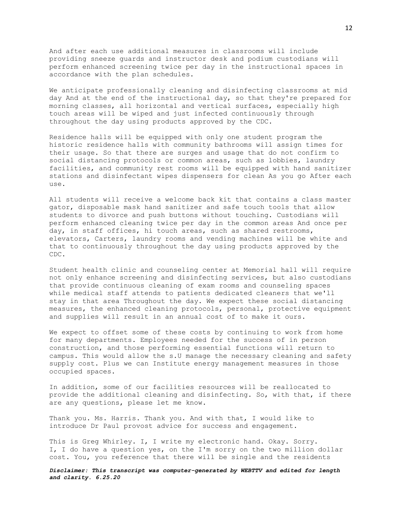And after each use additional measures in classrooms will include providing sneeze guards and instructor desk and podium custodians will perform enhanced screening twice per day in the instructional spaces in accordance with the plan schedules.

We anticipate professionally cleaning and disinfecting classrooms at mid day And at the end of the instructional day, so that they're prepared for morning classes, all horizontal and vertical surfaces, especially high touch areas will be wiped and just infected continuously through throughout the day using products approved by the CDC.

Residence halls will be equipped with only one student program the historic residence halls with community bathrooms will assign times for their usage. So that there are surges and usage that do not confirm to social distancing protocols or common areas, such as lobbies, laundry facilities, and community rest rooms will be equipped with hand sanitizer stations and disinfectant wipes dispensers for clean As you go After each use.

All students will receive a welcome back kit that contains a class master gator, disposable mask hand sanitizer and safe touch tools that allow students to divorce and push buttons without touching. Custodians will perform enhanced cleaning twice per day in the common areas And once per day, in staff offices, hi touch areas, such as shared restrooms, elevators, Carters, laundry rooms and vending machines will be white and that to continuously throughout the day using products approved by the CDC.

Student health clinic and counseling center at Memorial hall will require not only enhance screening and disinfecting services, but also custodians that provide continuous cleaning of exam rooms and counseling spaces while medical staff attends to patients dedicated cleaners that we'll stay in that area Throughout the day. We expect these social distancing measures, the enhanced cleaning protocols, personal, protective equipment and supplies will result in an annual cost of to make it ours.

We expect to offset some of these costs by continuing to work from home for many departments. Employees needed for the success of in person construction, and those performing essential functions will return to campus. This would allow the s.U manage the necessary cleaning and safety supply cost. Plus we can Institute energy management measures in those occupied spaces.

In addition, some of our facilities resources will be reallocated to provide the additional cleaning and disinfecting. So, with that, if there are any questions, please let me know.

Thank you. Ms. Harris. Thank you. And with that, I would like to introduce Dr Paul provost advice for success and engagement.

This is Greg Whirley. I, I write my electronic hand. Okay. Sorry. I, I do have a question yes, on the I'm sorry on the two million dollar cost. You, you reference that there will be single and the residents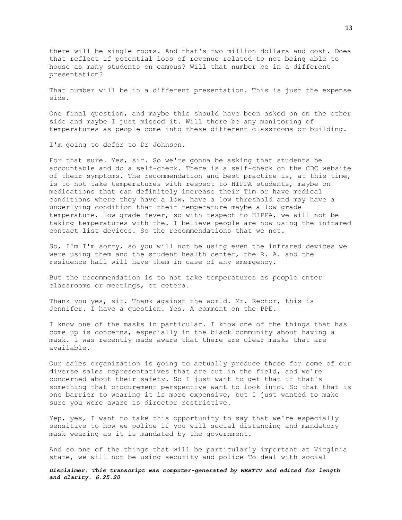there will be single rooms. And that's two million dollars and cost. Does that reflect if potential loss of revenue related to not being able to house as many students on campus? Will that number be in a different presentation?

That number will be in a different presentation. This is just the expense side.

One final question, and maybe this should have been asked on on the other side and maybe I just missed it. Will there be any monitoring of temperatures as people come into these different classrooms or building.

I'm going to defer to Dr Johnson.

For that sure. Yes, sir. So we're gonna be asking that students be accountable and do a self-check. There is a self-check on the CDC website of their symptoms. The recommendation and best practice is, at this time, is to not take temperatures with respect to HIPPA students, maybe on medications that can definitely increase their Tim or have medical conditions where they have a low, have a low threshold and may have a underlying condition that their temperature maybe a low grade temperature, low grade fever, so with respect to HIPPA, we will not be taking temperatures with the. I believe people are now using the infrared contact list devices. So the recommendations that we not.

So, I'm I'm sorry, so you will not be using even the infrared devices we were using them and the student health center, the R. A. and the residence hall will have them in case of any emergency.

But the recommendation is to not take temperatures as people enter classrooms or meetings, et cetera.

Thank you yes, sir. Thank against the world. Mr. Rector, this is Jennifer. I have a question. Yes. A comment on the PPE.

I know one of the masks in particular. I know one of the things that has come up is concerns, especially in the black community about having a mask. I was recently made aware that there are clear masks that are available.

Our sales organization is going to actually produce those for some of our diverse sales representatives that are out in the field, and we're concerned about their safety. So I just want to get that if that's something that procurement perspective want to look into. So that that is one barrier to wearing it is more expensive, but I just wanted to make sure you were aware is director restrictive.

Yep, yes, I want to take this opportunity to say that we're especially sensitive to how we police if you will social distancing and mandatory mask wearing as it is mandated by the government.

And so one of the things that will be particularly important at Virginia state, we will not be using security and police To deal with social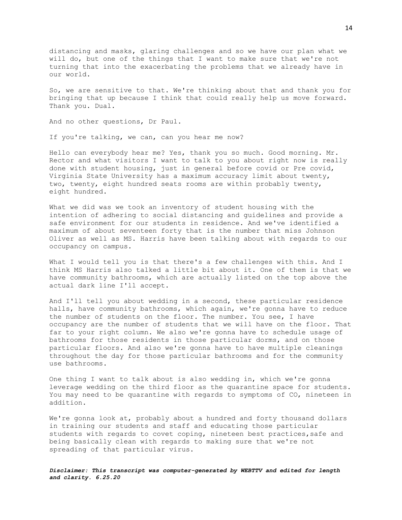distancing and masks, glaring challenges and so we have our plan what we will do, but one of the things that I want to make sure that we're not turning that into the exacerbating the problems that we already have in our world.

So, we are sensitive to that. We're thinking about that and thank you for bringing that up because I think that could really help us move forward. Thank you. Dual.

And no other questions, Dr Paul.

If you're talking, we can, can you hear me now?

Hello can everybody hear me? Yes, thank you so much. Good morning. Mr. Rector and what visitors I want to talk to you about right now is really done with student housing, just in general before covid or Pre covid, Virginia State University has a maximum accuracy limit about twenty, two, twenty, eight hundred seats rooms are within probably twenty, eight hundred.

What we did was we took an inventory of student housing with the intention of adhering to social distancing and guidelines and provide a safe environment for our students in residence. And we've identified a maximum of about seventeen forty that is the number that miss Johnson Oliver as well as MS. Harris have been talking about with regards to our occupancy on campus.

What I would tell you is that there's a few challenges with this. And I think MS Harris also talked a little bit about it. One of them is that we have community bathrooms, which are actually listed on the top above the actual dark line I'll accept.

And I'll tell you about wedding in a second, these particular residence halls, have community bathrooms, which again, we're gonna have to reduce the number of students on the floor. The number. You see, I have occupancy are the number of students that we will have on the floor. That far to your right column. We also we're gonna have to schedule usage of bathrooms for those residents in those particular dorms, and on those particular floors. And also we're gonna have to have multiple cleanings throughout the day for those particular bathrooms and for the community use bathrooms.

One thing I want to talk about is also wedding in, which we're gonna leverage wedding on the third floor as the quarantine space for students. You may need to be quarantine with regards to symptoms of CO, nineteen in addition.

We're gonna look at, probably about a hundred and forty thousand dollars in training our students and staff and educating those particular students with regards to covet coping, nineteen best practices, safe and being basically clean with regards to making sure that we're not spreading of that particular virus.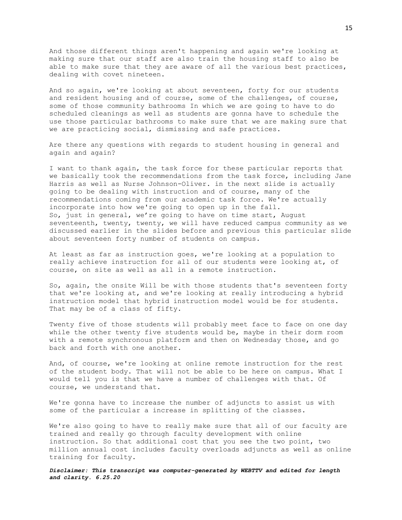And those different things aren't happening and again we're looking at making sure that our staff are also train the housing staff to also be able to make sure that they are aware of all the various best practices, dealing with covet nineteen.

And so again, we're looking at about seventeen, forty for our students and resident housing and of course, some of the challenges, of course, some of those community bathrooms In which we are going to have to do scheduled cleanings as well as students are gonna have to schedule the use those particular bathrooms to make sure that we are making sure that we are practicing social, dismissing and safe practices.

Are there any questions with regards to student housing in general and again and again?

I want to thank again, the task force for these particular reports that we basically took the recommendations from the task force, including Jane Harris as well as Nurse Johnson-Oliver. in the next slide is actually going to be dealing with instruction and of course, many of the recommendations coming from our academic task force. We're actually incorporate into how we're going to open up in the fall. So, just in general, we're going to have on time start, August seventeenth, twenty, twenty, we will have reduced campus community as we discussed earlier in the slides before and previous this particular slide about seventeen forty number of students on campus.

At least as far as instruction goes, we're looking at a population to really achieve instruction for all of our students were looking at, of course, on site as well as all in a remote instruction.

So, again, the onsite Will be with those students that's seventeen forty that we're looking at, and we're looking at really introducing a hybrid instruction model that hybrid instruction model would be for students. That may be of a class of fifty.

Twenty five of those students will probably meet face to face on one day while the other twenty five students would be, maybe in their dorm room with a remote synchronous platform and then on Wednesday those, and go back and forth with one another.

And, of course, we're looking at online remote instruction for the rest of the student body. That will not be able to be here on campus. What I would tell you is that we have a number of challenges with that. Of course, we understand that.

We're gonna have to increase the number of adjuncts to assist us with some of the particular a increase in splitting of the classes.

We're also going to have to really make sure that all of our faculty are trained and really go through faculty development with online instruction. So that additional cost that you see the two point, two million annual cost includes faculty overloads adjuncts as well as online training for faculty.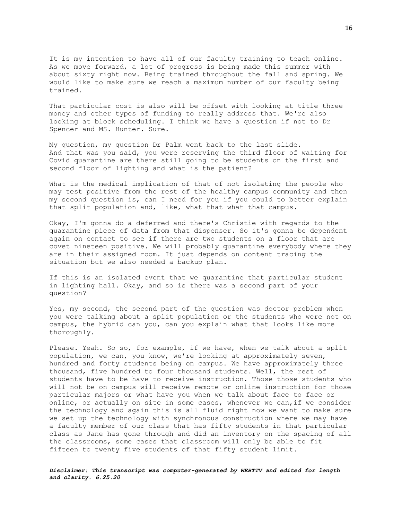It is my intention to have all of our faculty training to teach online. As we move forward, a lot of progress is being made this summer with about sixty right now. Being trained throughout the fall and spring. We would like to make sure we reach a maximum number of our faculty being trained.

That particular cost is also will be offset with looking at title three money and other types of funding to really address that. We're also looking at block scheduling. I think we have a question if not to Dr Spencer and MS. Hunter. Sure.

My question, my question Dr Palm went back to the last slide. And that was you said, you were reserving the third floor of waiting for Covid quarantine are there still going to be students on the first and second floor of lighting and what is the patient?

What is the medical implication of that of not isolating the people who may test positive from the rest of the healthy campus community and then my second question is, can I need for you if you could to better explain that split population and, like, what that what that campus.

Okay, I'm gonna do a deferred and there's Christie with regards to the quarantine piece of data from that dispenser. So it's gonna be dependent again on contact to see if there are two students on a floor that are covet nineteen positive. We will probably quarantine everybody where they are in their assigned room. It just depends on content tracing the situation but we also needed a backup plan.

If this is an isolated event that we quarantine that particular student in lighting hall. Okay, and so is there was a second part of your question?

Yes, my second, the second part of the question was doctor problem when you were talking about a split population or the students who were not on campus, the hybrid can you, can you explain what that looks like more thoroughly.

Please. Yeah. So so, for example, if we have, when we talk about a split population, we can, you know, we're looking at approximately seven, hundred and forty students being on campus. We have approximately three thousand, five hundred to four thousand students. Well, the rest of students have to be have to receive instruction. Those those students who will not be on campus will receive remote or online instruction for those particular majors or what have you when we talk about face to face or online, or actually on site in some cases, whenever we can,if we consider the technology and again this is all fluid right now we want to make sure we set up the technology with synchronous construction where we may have a faculty member of our class that has fifty students in that particular class as Jane has gone through and did an inventory on the spacing of all the classrooms, some cases that classroom will only be able to fit fifteen to twenty five students of that fifty student limit.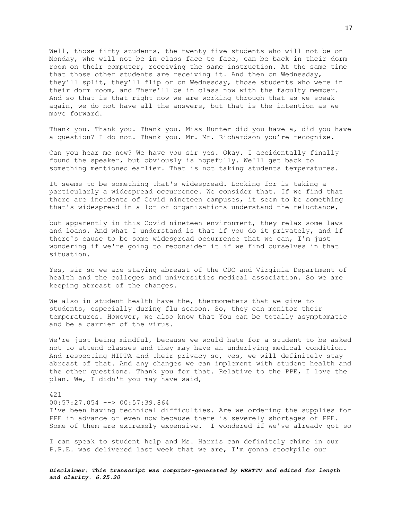Well, those fifty students, the twenty five students who will not be on Monday, who will not be in class face to face, can be back in their dorm room on their computer, receiving the same instruction. At the same time that those other students are receiving it. And then on Wednesday, they'll split, they'll flip or on Wednesday, those students who were in their dorm room, and There'll be in class now with the faculty member. And so that is that right now we are working through that as we speak again, we do not have all the answers, but that is the intention as we move forward.

Thank you. Thank you. Thank you. Miss Hunter did you have a, did you have a question? I do not. Thank you. Mr. Mr. Richardson you're recognize.

Can you hear me now? We have you sir yes. Okay. I accidentally finally found the speaker, but obviously is hopefully. We'll get back to something mentioned earlier. That is not taking students temperatures.

It seems to be something that's widespread. Looking for is taking a particularly a widespread occurrence. We consider that. If we find that there are incidents of Covid nineteen campuses, it seem to be something that's widespread in a lot of organizations understand the reluctance,

but apparently in this Covid nineteen environment, they relax some laws and loans. And what I understand is that if you do it privately, and if there's cause to be some widespread occurrence that we can, I'm just wondering if we're going to reconsider it if we find ourselves in that situation.

Yes, sir so we are staying abreast of the CDC and Virginia Department of health and the colleges and universities medical association. So we are keeping abreast of the changes.

We also in student health have the, thermometers that we give to students, especially during flu season. So, they can monitor their temperatures. However, we also know that You can be totally asymptomatic and be a carrier of the virus.

We're just being mindful, because we would hate for a student to be asked not to attend classes and they may have an underlying medical condition. And respecting HIPPA and their privacy so, yes, we will definitely stay abreast of that. And any changes we can implement with student health and the other questions. Thank you for that. Relative to the PPE, I love the plan. We, I didn't you may have said,

## 421

00:57:27.054 --> 00:57:39.864

I've been having technical difficulties. Are we ordering the supplies for PPE in advance or even now because there is severely shortages of PPE. Some of them are extremely expensive. I wondered if we've already got so

I can speak to student help and Ms. Harris can definitely chime in our P.P.E. was delivered last week that we are, I'm gonna stockpile our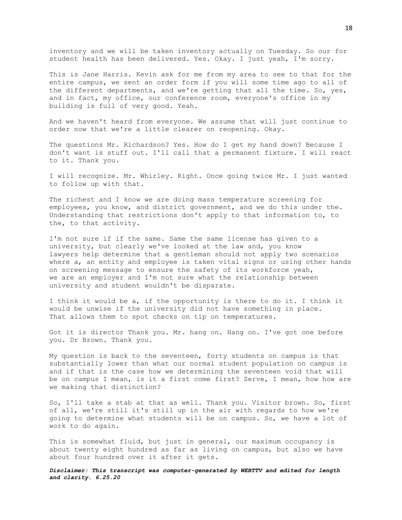inventory and we will be taken inventory actually on Tuesday. So our for student health has been delivered. Yes. Okay. I just yeah, I'm sorry.

This is Jane Harris. Kevin ask for me from my area to see to that for the entire campus, we sent an order form if you will some time ago to all of the different departments, and we're getting that all the time. So, yes, and in fact, my office, our conference room, everyone's office in my building is full of very good. Yeah.

And we haven't heard from everyone. We assume that will just continue to order now that we're a little clearer on reopening. Okay.

The questions Mr. Richardson? Yes. How do I get my hand down? Because I don't want is stuff out. I'll call that a permanent fixture. I will react to it. Thank you.

I will recognize. Mr. Whirley. Right. Once going twice Mr. I just wanted to follow up with that.

The richest and I know we are doing mass temperature screening for employees, you know, and district government, and we do this under the. Understanding that restrictions don't apply to that information to, to the, to that activity.

I'm not sure if if the same. Same the same license has given to a university, but clearly we've looked at the law and, you know lawyers help determine that a gentleman should not apply two scenarios where a, an entity and employee is taken vital signs or using other hands on screening message to ensure the safety of its workforce yeah, we are an employer and I'm not sure what the relationship between university and student wouldn't be disparate.

I think it would be a, if the opportunity is there to do it. I think it would be unwise if the university did not have something in place. That allows them to spot checks on tip on temperatures.

Got it is director Thank you. Mr. hang on. Hang on. I've got one before you. Dr Brown. Thank you.

My question is back to the seventeen, forty students on campus is that substantially lower than what our normal student population on campus is and if that is the case how we determining the seventeen void that will be on campus I mean, is it a first come first? Serve, I mean, how how are we making that distinction?

So, I'll take a stab at that as well. Thank you. Visitor brown. So, first of all, we're still it's still up in the air with regards to how we're going to determine what students will be on campus. So, we have a lot of work to do again.

This is somewhat fluid, but just in general, our maximum occupancy is about twenty eight hundred as far as living on campus, but also we have about four hundred over it after it gets.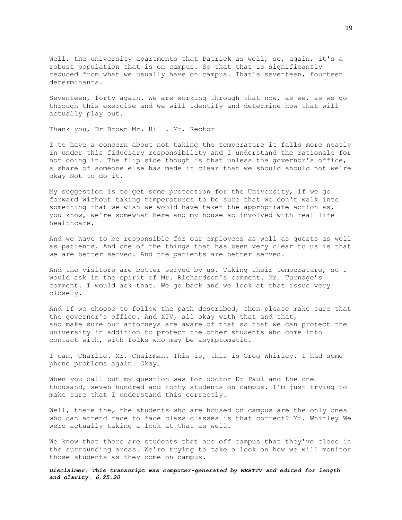Well, the university apartments that Patrick as well, so, again, it's a robust population that is on campus. So that that is significantly reduced from what we usually have on campus. That's seventeen, fourteen determinants.

Seventeen, forty again. We are working through that now, as we, as we go through this exercise and we will identify and determine how that will actually play out.

Thank you, Dr Brown Mr. Hill. Mr. Rector

I to have a concern about not taking the temperature it falls more neatly in under this fiduciary responsibility and I understand the rationale for not doing it. The flip side though is that unless the governor's office, a share of someone else has made it clear that we should should not we're okay Not to do it.

My suggestion is to get some protection for the University, if we go forward without taking temperatures to be sure that we don't walk into something that we wish we would have taken the appropriate action as, you know, we're somewhat here and my house so involved with real life healthcare.

And we have to be responsible for our employees as well as guests as well as patients. And one of the things that has been very clear to us is that we are better served. And the patients are better served.

And the visitors are better served by us. Taking their temperature, so I would ask in the spirit of Mr. Richardson's comment. Mr. Turnage's comment. I would ask that. We go back and we look at that issue very closely.

And if we choose to follow the path described, then please make sure that the governor's office. And XIV, all okay with that and that, and make sure our attorneys are aware of that so that we can protect the university in addition to protect the other students who come into contact with, with folks who may be asymptomatic.

I can, Charlie. Mr. Chairman. This is, this is Greg Whirley. I had some phone problems again. Okay.

When you call but my question was for doctor Dr Paul and the one thousand, seven hundred and forty students on campus. I'm just trying to make sure that I understand this correctly.

Well, there the, the students who are housed on campus are the only ones who can attend face to face class classes is that correct? Mr. Whirley We were actually taking a look at that as well.

We know that there are students that are off campus that they've close in the surrounding areas. We're trying to take a look on how we will monitor those students as they come on campus.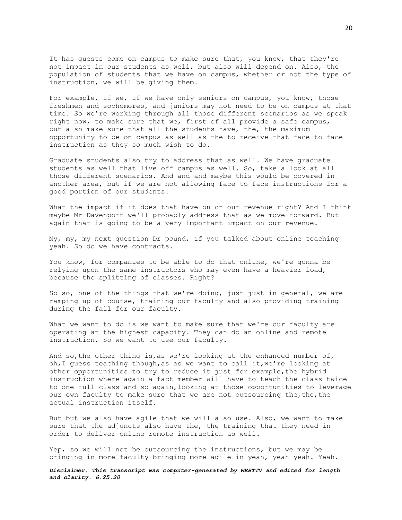It has guests come on campus to make sure that, you know, that they're not impact in our students as well, but also will depend on. Also, the population of students that we have on campus, whether or not the type of instruction, we will be giving them.

For example, if we, if we have only seniors on campus, you know, those freshmen and sophomores, and juniors may not need to be on campus at that time. So we're working through all those different scenarios as we speak right now, to make sure that we, first of all provide a safe campus, but also make sure that all the students have, the, the maximum opportunity to be on campus as well as the to receive that face to face instruction as they so much wish to do.

Graduate students also try to address that as well. We have graduate students as well that live off campus as well. So, take a look at all those different scenarios. And and and maybe this would be covered in another area, but if we are not allowing face to face instructions for a good portion of our students.

What the impact if it does that have on on our revenue right? And I think maybe Mr Davenport we'll probably address that as we move forward. But again that is going to be a very important impact on our revenue.

My, my, my next question Dr pound, if you talked about online teaching yeah. So do we have contracts.

You know, for companies to be able to do that online, we're gonna be relying upon the same instructors who may even have a heavier load, because the splitting of classes. Right?

So so, one of the things that we're doing, just just in general, we are ramping up of course, training our faculty and also providing training during the fall for our faculty.

What we want to do is we want to make sure that we're our faculty are operating at the highest capacity. They can do an online and remote instruction. So we want to use our faculty.

And so, the other thing is, as we're looking at the enhanced number of, oh,I guess teaching though,as as we want to call it,we're looking at other opportunities to try to reduce it just for example,the hybrid instruction where again a fact member will have to teach the class twice to one full class and so again,looking at those opportunities to leverage our own faculty to make sure that we are not outsourcing the, the, the actual instruction itself.

But but we also have agile that we will also use. Also, we want to make sure that the adjuncts also have the, the training that they need in order to deliver online remote instruction as well.

Yep, so we will not be outsourcing the instructions, but we may be bringing in more faculty bringing more agile in yeah, yeah yeah. Yeah.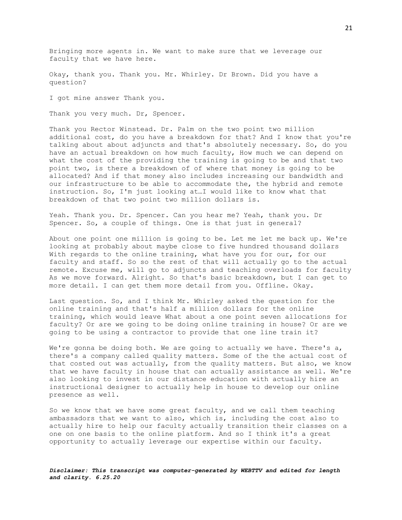Bringing more agents in. We want to make sure that we leverage our faculty that we have here.

Okay, thank you. Thank you. Mr. Whirley. Dr Brown. Did you have a question?

I got mine answer Thank you.

Thank you very much. Dr, Spencer.

Thank you Rector Winstead. Dr. Palm on the two point two million additional cost, do you have a breakdown for that? And I know that you're talking about about adjuncts and that's absolutely necessary. So, do you have an actual breakdown on how much faculty, How much we can depend on what the cost of the providing the training is going to be and that two point two, is there a breakdown of of where that money is going to be allocated? And if that money also includes increasing our bandwidth and our infrastructure to be able to accommodate the, the hybrid and remote instruction. So, I'm just looking at…I would like to know what that breakdown of that two point two million dollars is.

Yeah. Thank you. Dr. Spencer. Can you hear me? Yeah, thank you. Dr Spencer. So, a couple of things. One is that just in general?

About one point one million is going to be. Let me let me back up. We're looking at probably about maybe close to five hundred thousand dollars With regards to the online training, what have you for our, for our faculty and staff. So so the rest of that will actually go to the actual remote. Excuse me, will go to adjuncts and teaching overloads for faculty As we move forward. Alright. So that's basic breakdown, but I can get to more detail. I can get them more detail from you. Offline. Okay.

Last question. So, and I think Mr. Whirley asked the question for the online training and that's half a million dollars for the online training, which would leave What about a one point seven allocations for faculty? Or are we going to be doing online training in house? Or are we going to be using a contractor to provide that one line train it?

We're gonna be doing both. We are going to actually we have. There's a, there's a company called quality matters. Some of the the actual cost of that costed out was actually, from the quality matters. But also, we know that we have faculty in house that can actually assistance as well. We're also looking to invest in our distance education with actually hire an instructional designer to actually help in house to develop our online presence as well.

So we know that we have some great faculty, and we call them teaching ambassadors that we want to also, which is, including the cost also to actually hire to help our faculty actually transition their classes on a one on one basis to the online platform. And so I think it's a great opportunity to actually leverage our expertise within our faculty.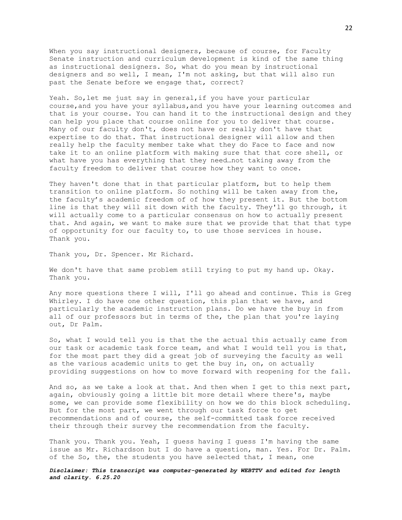When you say instructional designers, because of course, for Faculty Senate instruction and curriculum development is kind of the same thing as instructional designers. So, what do you mean by instructional designers and so well, I mean, I'm not asking, but that will also run past the Senate before we engage that, correct?

Yeah. So,let me just say in general,if you have your particular course,and you have your syllabus,and you have your learning outcomes and that is your course. You can hand it to the instructional design and they can help you place that course online for you to deliver that course. Many of our faculty don't, does not have or really don't have that expertise to do that. That instructional designer will allow and then really help the faculty member take what they do Face to face and now take it to an online platform with making sure that that core shell, or what have you has everything that they need…not taking away from the faculty freedom to deliver that course how they want to once.

They haven't done that in that particular platform, but to help them transition to online platform. So nothing will be taken away from the, the faculty's academic freedom of of how they present it. But the bottom line is that they will sit down with the faculty. They'll go through, it will actually come to a particular consensus on how to actually present that. And again, we want to make sure that we provide that that that type of opportunity for our faculty to, to use those services in house. Thank you.

Thank you, Dr. Spencer. Mr Richard.

We don't have that same problem still trying to put my hand up. Okay. Thank you.

Any more questions there I will, I'll go ahead and continue. This is Greg Whirley. I do have one other question, this plan that we have, and particularly the academic instruction plans. Do we have the buy in from all of our professors but in terms of the, the plan that you're laying out, Dr Palm.

So, what I would tell you is that the the actual this actually came from our task or academic task force team, and what I would tell you is that, for the most part they did a great job of surveying the faculty as well as the various academic units to get the buy in, on, on actually providing suggestions on how to move forward with reopening for the fall.

And so, as we take a look at that. And then when I get to this next part, again, obviously going a little bit more detail where there's, maybe some, we can provide some flexibility on how we do this block scheduling. But for the most part, we went through our task force to get recommendations and of course, the self-committed task force received their through their survey the recommendation from the faculty.

Thank you. Thank you. Yeah, I guess having I guess I'm having the same issue as Mr. Richardson but I do have a question, man. Yes. For Dr. Palm. of the So, the, the students you have selected that, I mean, one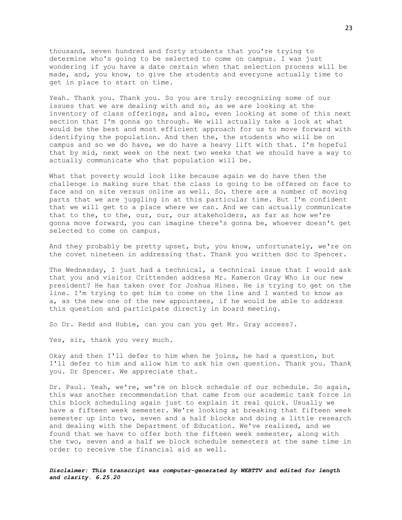thousand, seven hundred and forty students that you're trying to determine who's going to be selected to come on campus. I was just wondering if you have a date certain when that selection process will be made, and, you know, to give the students and everyone actually time to get in place to start on time.

Yeah. Thank you. Thank you. So you are truly recognizing some of our issues that we are dealing with and so, as we are looking at the inventory of class offerings, and also, even looking at some of this next section that I'm gonna go through. We will actually take a look at what would be the best and most efficient approach for us to move forward with identifying the population. And then the, the students who will be on campus and so we do have, we do have a heavy lift with that. I'm hopeful that by mid, next week on the next two weeks that we should have a way to actually communicate who that population will be.

What that poverty would look like because again we do have then the challenge is making sure that the class is going to be offered on face to face and on site versus online as well. So, there are a number of moving parts that we are juggling in at this particular time. But I'm confident that we will get to a place where we can. And we can actually communicate that to the, to the, our, our, our stakeholders, as far as how we're gonna move forward, you can imagine there's gonna be, whoever doesn't get selected to come on campus.

And they probably be pretty upset, but, you know, unfortunately, we're on the covet nineteen in addressing that. Thank you written doc to Spencer.

The Wednesday, I just had a technical, a technical issue that I would ask that you and visitor Crittenden address Mr. Kameron Gray Who is our new president? He has taken over for Joshua Hines. He is trying to get on the line. I'm trying to get him to come on the line and I wanted to know as a, as the new one of the new appointees, if he would be able to address this question and participate directly in board meeting.

So Dr. Redd and Hubie, can you can you get Mr. Gray access?.

Yes, sir, thank you very much.

Okay and then I'll defer to him when he joins, he had a question, but I'll defer to him and allow him to ask his own question. Thank you. Thank you. Dr Spencer. We appreciate that.

Dr. Paul. Yeah, we're, we're on block schedule of our schedule. So again, this was another recommendation that came from our academic task force in this block scheduling again just to explain it real quick. Usually we have a fifteen week semester. We're looking at breaking that fifteen week semester up into two, seven and a half blocks and doing a little research and dealing with the Department of Education. We've realized, and we found that we have to offer both the fifteen week semester, along with the two, seven and a half we block schedule semesters at the same time in order to receive the financial aid as well.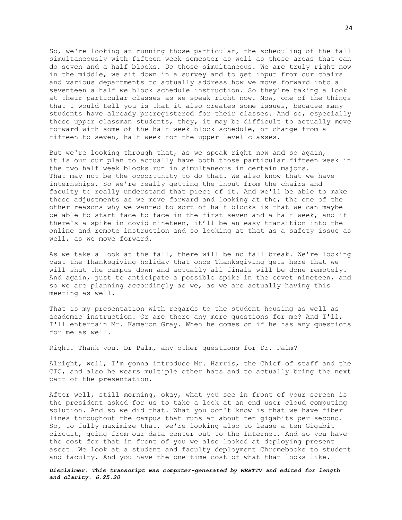So, we're looking at running those particular, the scheduling of the fall simultaneously with fifteen week semester as well as those areas that can do seven and a half blocks. Do those simultaneous. We are truly right now in the middle, we sit down in a survey and to get input from our chairs and various departments to actually address how we move forward into a seventeen a half we block schedule instruction. So they're taking a look at their particular classes as we speak right now. Now, one of the things that I would tell you is that it also creates some issues, because many students have already preregistered for their classes. And so, especially those upper classman students, they, it may be difficult to actually move forward with some of the half week block schedule, or change from a fifteen to seven, half week for the upper level classes.

But we're looking through that, as we speak right now and so again, it is our our plan to actually have both those particular fifteen week in the two half week blocks run in simultaneous in certain majors. That may not be the opportunity to do that. We also know that we have internships. So we're really getting the input from the chairs and faculty to really understand that piece of it. And we'll be able to make those adjustments as we move forward and looking at the, the one of the other reasons why we wanted to sort of half blocks is that we can maybe be able to start face to face in the first seven and a half week, and if there's a spike in covid nineteen, it'll be an easy transition into the online and remote instruction and so looking at that as a safety issue as well, as we move forward.

As we take a look at the fall, there will be no fall break. We're looking past the Thanksgiving holiday that once Thanksgiving gets here that we will shut the campus down and actually all finals will be done remotely. And again, just to anticipate a possible spike in the covet nineteen, and so we are planning accordingly as we, as we are actually having this meeting as well.

That is my presentation with regards to the student housing as well as academic instruction. Or are there any more questions for me? And I'll, I'll entertain Mr. Kameron Gray. When he comes on if he has any questions for me as well.

Right. Thank you. Dr Palm, any other questions for Dr. Palm?

Alright, well, I'm gonna introduce Mr. Harris, the Chief of staff and the CIO, and also he wears multiple other hats and to actually bring the next part of the presentation.

After well, still morning, okay, what you see in front of your screen is the president asked for us to take a look at an end user cloud computing solution. And so we did that. What you don't know is that we have fiber lines throughout the campus that runs at about ten gigabits per second. So, to fully maximize that, we're looking also to lease a ten Gigabit circuit, going from our data center out to the Internet. And so you have the cost for that in front of you we also looked at deploying present asset. We look at a student and faculty deployment Chromebooks to student and faculty. And you have the one-time cost of what that looks like.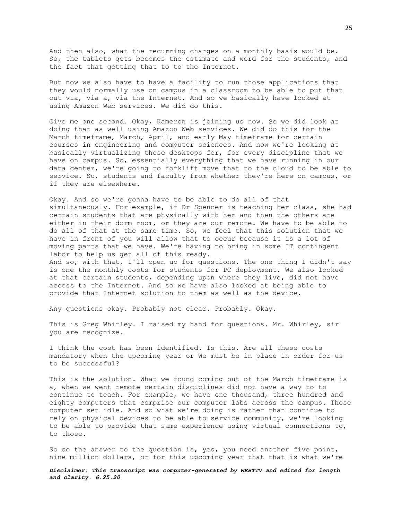And then also, what the recurring charges on a monthly basis would be. So, the tablets gets becomes the estimate and word for the students, and the fact that getting that to to the Internet.

But now we also have to have a facility to run those applications that they would normally use on campus in a classroom to be able to put that out via, via a, via the Internet. And so we basically have looked at using Amazon Web services. We did do this.

Give me one second. Okay, Kameron is joining us now. So we did look at doing that as well using Amazon Web services. We did do this for the March timeframe, March, April, and early May timeframe for certain courses in engineering and computer sciences. And now we're looking at basically virtualizing those desktops for, for every discipline that we have on campus. So, essentially everything that we have running in our data center, we're going to forklift move that to the cloud to be able to service. So, students and faculty from whether they're here on campus, or if they are elsewhere.

Okay. And so we're gonna have to be able to do all of that simultaneously. For example, if Dr Spencer is teaching her class, she had certain students that are physically with her and then the others are either in their dorm room, or they are our remote. We have to be able to do all of that at the same time. So, we feel that this solution that we have in front of you will allow that to occur because it is a lot of moving parts that we have. We're having to bring in some IT contingent labor to help us get all of this ready. And so, with that, I'll open up for questions. The one thing I didn't say is one the monthly costs for students for PC deployment. We also looked at that certain students, depending upon where they live, did not have access to the Internet. And so we have also looked at being able to provide that Internet solution to them as well as the device.

Any questions okay. Probably not clear. Probably. Okay.

This is Greg Whirley. I raised my hand for questions. Mr. Whirley, sir you are recognize.

I think the cost has been identified. Is this. Are all these costs mandatory when the upcoming year or We must be in place in order for us to be successful?

This is the solution. What we found coming out of the March timeframe is a, when we went remote certain disciplines did not have a way to to continue to teach. For example, we have one thousand, three hundred and eighty computers that comprise our computer labs across the campus. Those computer set idle. And so what we're doing is rather than continue to rely on physical devices to be able to service community, we're looking to be able to provide that same experience using virtual connections to, to those.

So so the answer to the question is, yes, you need another five point, nine million dollars, or for this upcoming year that that is what we're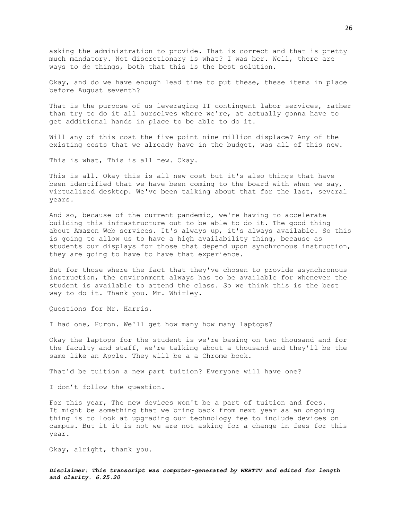asking the administration to provide. That is correct and that is pretty much mandatory. Not discretionary is what? I was her. Well, there are ways to do things, both that this is the best solution.

Okay, and do we have enough lead time to put these, these items in place before August seventh?

That is the purpose of us leveraging IT contingent labor services, rather than try to do it all ourselves where we're, at actually gonna have to get additional hands in place to be able to do it.

Will any of this cost the five point nine million displace? Any of the existing costs that we already have in the budget, was all of this new.

This is what, This is all new. Okay.

This is all. Okay this is all new cost but it's also things that have been identified that we have been coming to the board with when we say, virtualized desktop. We've been talking about that for the last, several years.

And so, because of the current pandemic, we're having to accelerate building this infrastructure out to be able to do it. The good thing about Amazon Web services. It's always up, it's always available. So this is going to allow us to have a high availability thing, because as students our displays for those that depend upon synchronous instruction, they are going to have to have that experience.

But for those where the fact that they've chosen to provide asynchronous instruction, the environment always has to be available for whenever the student is available to attend the class. So we think this is the best way to do it. Thank you. Mr. Whirley.

Questions for Mr. Harris.

I had one, Huron. We'll get how many how many laptops?

Okay the laptops for the student is we're basing on two thousand and for the faculty and staff, we're talking about a thousand and they'll be the same like an Apple. They will be a a Chrome book.

That'd be tuition a new part tuition? Everyone will have one?

I don't follow the question.

For this year, The new devices won't be a part of tuition and fees. It might be something that we bring back from next year as an ongoing thing is to look at upgrading our technology fee to include devices on campus. But it it is not we are not asking for a change in fees for this year.

Okay, alright, thank you.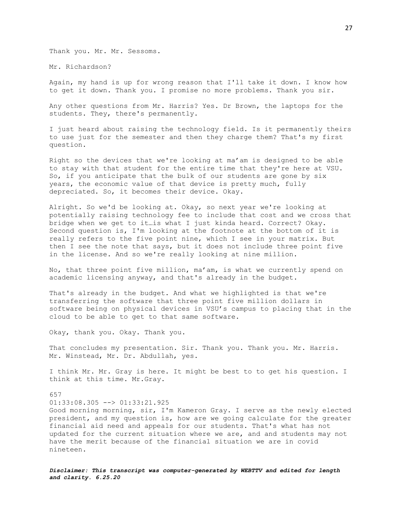Thank you. Mr. Mr. Sessoms.

Mr. Richardson?

Again, my hand is up for wrong reason that I'll take it down. I know how to get it down. Thank you. I promise no more problems. Thank you sir.

Any other questions from Mr. Harris? Yes. Dr Brown, the laptops for the students. They, there's permanently.

I just heard about raising the technology field. Is it permanently theirs to use just for the semester and then they charge them? That's my first question.

Right so the devices that we're looking at ma'am is designed to be able to stay with that student for the entire time that they're here at VSU. So, if you anticipate that the bulk of our students are gone by six years, the economic value of that device is pretty much, fully depreciated. So, it becomes their device. Okay.

Alright. So we'd be looking at. Okay, so next year we're looking at potentially raising technology fee to include that cost and we cross that bridge when we get to it…is what I just kinda heard. Correct? Okay. Second question is, I'm looking at the footnote at the bottom of it is really refers to the five point nine, which I see in your matrix. But then I see the note that says, but it does not include three point five in the license. And so we're really looking at nine million.

No, that three point five million, ma'am, is what we currently spend on academic licensing anyway, and that's already in the budget.

That's already in the budget. And what we highlighted is that we're transferring the software that three point five million dollars in software being on physical devices in VSU's campus to placing that in the cloud to be able to get to that same software.

Okay, thank you. Okay. Thank you.

That concludes my presentation. Sir. Thank you. Thank you. Mr. Harris. Mr. Winstead, Mr. Dr. Abdullah, yes.

I think Mr. Mr. Gray is here. It might be best to to get his question. I think at this time. Mr.Gray.

657

01:33:08.305 --> 01:33:21.925

Good morning morning, sir, I'm Kameron Gray. I serve as the newly elected president, and my question is, how are we going calculate for the greater financial aid need and appeals for our students. That's what has not updated for the current situation where we are, and and students may not have the merit because of the financial situation we are in covid nineteen.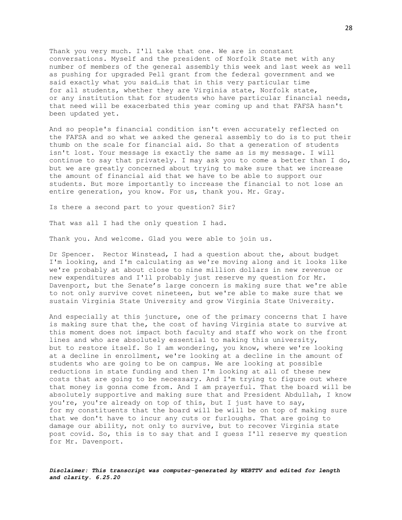Thank you very much. I'll take that one. We are in constant conversations. Myself and the president of Norfolk State met with any number of members of the general assembly this week and last week as well as pushing for upgraded Pell grant from the federal government and we said exactly what you said…is that in this very particular time for all students, whether they are Virginia state, Norfolk state, or any institution that for students who have particular financial needs, that need will be exacerbated this year coming up and that FAFSA hasn't been updated yet.

And so people's financial condition isn't even accurately reflected on the FAFSA and so what we asked the general assembly to do is to put their thumb on the scale for financial aid. So that a generation of students isn't lost. Your message is exactly the same as is my message. I will continue to say that privately. I may ask you to come a better than I do, but we are greatly concerned about trying to make sure that we increase the amount of financial aid that we have to be able to support our students. But more importantly to increase the financial to not lose an entire generation, you know. For us, thank you. Mr. Gray.

Is there a second part to your question? Sir?

That was all I had the only question I had.

Thank you. And welcome. Glad you were able to join us.

Dr Spencer. Rector Winstead, I had a question about the, about budget I'm looking, and I'm calculating as we're moving along and it looks like we're probably at about close to nine million dollars in new revenue or new expenditures and I'll probably just reserve my question for Mr. Davenport, but the Senate's large concern is making sure that we're able to not only survive covet nineteen, but we're able to make sure that we sustain Virginia State University and grow Virginia State University.

And especially at this juncture, one of the primary concerns that I have is making sure that the, the cost of having Virginia state to survive at this moment does not impact both faculty and staff who work on the front lines and who are absolutely essential to making this university, but to restore itself. So I am wondering, you know, where we're looking at a decline in enrollment, we're looking at a decline in the amount of students who are going to be on campus. We are looking at possible reductions in state funding and then I'm looking at all of these new costs that are going to be necessary. And I'm trying to figure out where that money is gonna come from. And I am prayerful. That the board will be absolutely supportive and making sure that and President Abdullah, I know you're, you're already on top of this, but I just have to say, for my constituents that the board will be will be on top of making sure that we don't have to incur any cuts or furloughs. That are going to damage our ability, not only to survive, but to recover Virginia state post covid. So, this is to say that and I guess I'll reserve my question for Mr. Davenport.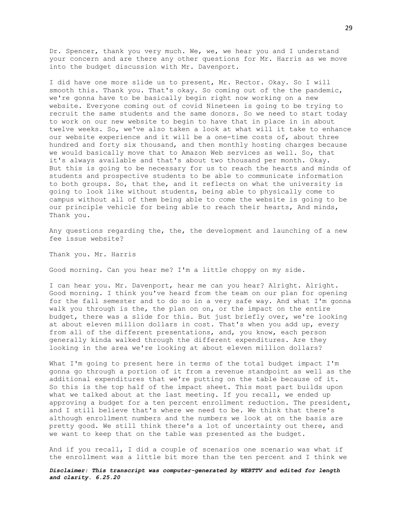Dr. Spencer, thank you very much. We, we, we hear you and I understand your concern and are there any other questions for Mr. Harris as we move into the budget discussion with Mr. Davenport.

I did have one more slide us to present, Mr. Rector. Okay. So I will smooth this. Thank you. That's okay. So coming out of the the pandemic, we're gonna have to be basically begin right now working on a new website. Everyone coming out of covid Nineteen is going to be trying to recruit the same students and the same donors. So we need to start today to work on our new website to begin to have that in place in in about twelve weeks. So, we've also taken a look at what will it take to enhance our website experience and it will be a one-time costs of, about three hundred and forty six thousand, and then monthly hosting charges because we would basically move that to Amazon Web services as well. So, that it's always available and that's about two thousand per month. Okay. But this is going to be necessary for us to reach the hearts and minds of students and prospective students to be able to communicate information to both groups. So, that the, and it reflects on what the university is going to look like without students, being able to physically come to campus without all of them being able to come the website is going to be our principle vehicle for being able to reach their hearts, And minds, Thank you.

Any questions regarding the, the, the development and launching of a new fee issue website?

Thank you. Mr. Harris

Good morning. Can you hear me? I'm a little choppy on my side.

I can hear you. Mr. Davenport, hear me can you hear? Alright. Alright. Good morning. I think you've heard from the team on our plan for opening for the fall semester and to do so in a very safe way. And what I'm gonna walk you through is the, the plan on on, or the impact on the entire budget, there was a slide for this. But just briefly over, we're looking at about eleven million dollars in cost. That's when you add up, every from all of the different presentations, and, you know, each person generally kinda walked through the different expenditures. Are they looking in the area we're looking at about eleven million dollars?

What I'm going to present here in terms of the total budget impact I'm gonna go through a portion of it from a revenue standpoint as well as the additional expenditures that we're putting on the table because of it. So this is the top half of the impact sheet. This most part builds upon what we talked about at the last meeting. If you recall, we ended up approving a budget for a ten percent enrollment reduction. The president, and I still believe that's where we need to be. We think that there's although enrollment numbers and the numbers we look at on the basis are pretty good. We still think there's a lot of uncertainty out there, and we want to keep that on the table was presented as the budget.

And if you recall, I did a couple of scenarios one scenario was what if the enrollment was a little bit more than the ten percent and I think we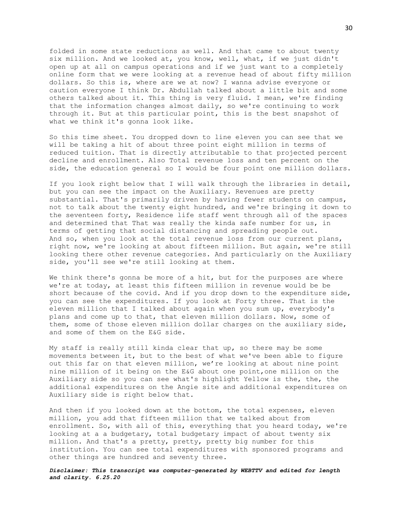folded in some state reductions as well. And that came to about twenty six million. And we looked at, you know, well, what, if we just didn't open up at all on campus operations and if we just want to a completely online form that we were looking at a revenue head of about fifty million dollars. So this is, where are we at now? I wanna advise everyone or caution everyone I think Dr. Abdullah talked about a little bit and some others talked about it. This thing is very fluid. I mean, we're finding that the information changes almost daily, so we're continuing to work through it. But at this particular point, this is the best snapshot of what we think it's gonna look like.

So this time sheet. You dropped down to line eleven you can see that we will be taking a hit of about three point eight million in terms of reduced tuition. That is directly attributable to that projected percent decline and enrollment. Also Total revenue loss and ten percent on the side, the education general so I would be four point one million dollars.

If you look right below that I will walk through the libraries in detail, but you can see the impact on the Auxiliary. Revenues are pretty substantial. That's primarily driven by having fewer students on campus, not to talk about the twenty eight hundred, and we're bringing it down to the seventeen forty, Residence life staff went through all of the spaces and determined that That was really the kinda safe number for us, in terms of getting that social distancing and spreading people out. And so, when you look at the total revenue loss from our current plans, right now, we're looking at about fifteen million. But again, we're still looking there other revenue categories. And particularly on the Auxiliary side, you'll see we're still looking at them.

We think there's gonna be more of a hit, but for the purposes are where we're at today, at least this fifteen million in revenue would be be short because of the covid. And if you drop down to the expenditure side, you can see the expenditures. If you look at Forty three. That is the eleven million that I talked about again when you sum up, everybody's plans and come up to that, that eleven million dollars. Now, some of them, some of those eleven million dollar charges on the auxiliary side, and some of them on the E&G side.

My staff is really still kinda clear that up, so there may be some movements between it, but to the best of what we've been able to figure out this far on that eleven million, we're looking at about nine point nine million of it being on the E&G about one point,one million on the Auxiliary side so you can see what's highlight Yellow is the, the, the additional expenditures on the Angie site and additional expenditures on Auxiliary side is right below that.

And then if you looked down at the bottom, the total expenses, eleven million, you add that fifteen million that we talked about from enrollment. So, with all of this, everything that you heard today, we're looking at a a budgetary, total budgetary impact of about twenty six million. And that's a pretty, pretty, pretty big number for this institution. You can see total expenditures with sponsored programs and other things are hundred and seventy three.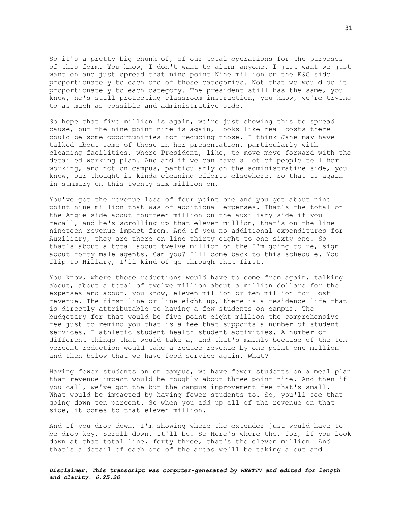So it's a pretty big chunk of, of our total operations for the purposes of this form. You know, I don't want to alarm anyone. I just want we just want on and just spread that nine point Nine million on the E&G side proportionately to each one of those categories. Not that we would do it proportionately to each category. The president still has the same, you know, he's still protecting classroom instruction, you know, we're trying to as much as possible and administrative side.

So hope that five million is again, we're just showing this to spread cause, but the nine point nine is again, looks like real costs there could be some opportunities for reducing those. I think Jane may have talked about some of those in her presentation, particularly with cleaning facilities, where President, like, to move move forward with the detailed working plan. And and if we can have a lot of people tell her working, and not on campus, particularly on the administrative side, you know, our thought is kinda cleaning efforts elsewhere. So that is again in summary on this twenty six million on.

You've got the revenue loss of four point one and you got about nine point nine million that was of additional expenses. That's the total on the Angie side about fourteen million on the auxiliary side if you recall, and he's scrolling up that eleven million, that's on the line nineteen revenue impact from. And if you no additional expenditures for Auxiliary, they are there on line thirty eight to one sixty one. So that's about a total about twelve million on the I'm going to re, sign about forty male agents. Can you? I'll come back to this schedule. You flip to Hillary, I'll kind of go through that first.

You know, where those reductions would have to come from again, talking about, about a total of twelve million about a million dollars for the expenses and about, you know, eleven million or ten million for lost revenue. The first line or line eight up, there is a residence life that is directly attributable to having a few students on campus. The budgetary for that would be five point eight million the comprehensive fee just to remind you that is a fee that supports a number of student services. I athletic student health student activities. A number of different things that would take a, and that's mainly because of the ten percent reduction would take a reduce revenue by one point one million and then below that we have food service again. What?

Having fewer students on on campus, we have fewer students on a meal plan that revenue impact would be roughly about three point nine. And then if you call, we've got the but the campus improvement fee that's small. What would be impacted by having fewer students to. So, you'll see that going down ten percent. So when you add up all of the revenue on that side, it comes to that eleven million.

And if you drop down, I'm showing where the extender just would have to be drop key. Scroll down. It'll be. So Here's where the, for, if you look down at that total line, forty three, that's the eleven million. And that's a detail of each one of the areas we'll be taking a cut and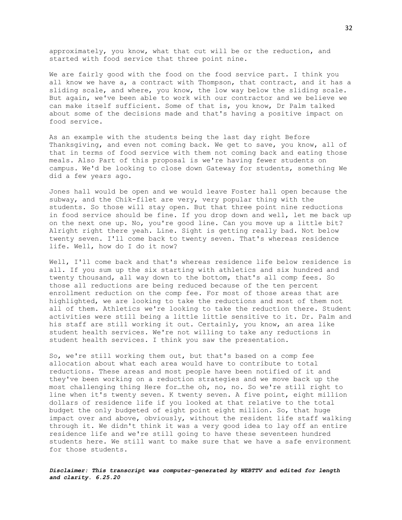approximately, you know, what that cut will be or the reduction, and started with food service that three point nine.

We are fairly good with the food on the food service part. I think you all know we have a, a contract with Thompson, that contract, and it has a sliding scale, and where, you know, the low way below the sliding scale. But again, we've been able to work with our contractor and we believe we can make itself sufficient. Some of that is, you know, Dr Palm talked about some of the decisions made and that's having a positive impact on food service.

As an example with the students being the last day right Before Thanksgiving, and even not coming back. We get to save, you know, all of that in terms of food service with them not coming back and eating those meals. Also Part of this proposal is we're having fewer students on campus. We'd be looking to close down Gateway for students, something We did a few years ago.

Jones hall would be open and we would leave Foster hall open because the subway, and the Chik-filet are very, very popular thing with the students. So those will stay open. But that three point nine reductions in food service should be fine. If you drop down and well, let me back up on the next one up. No, you're good line. Can you move up a little bit? Alright right there yeah. Line. Sight is getting really bad. Not below twenty seven. I'll come back to twenty seven. That's whereas residence life. Well, how do I do it now?

Well, I'll come back and that's whereas residence life below residence is all. If you sum up the six starting with athletics and six hundred and twenty thousand, all way down to the bottom, that's all comp fees. So those all reductions are being reduced because of the ten percent enrollment reduction on the comp fee. For most of those areas that are highlighted, we are looking to take the reductions and most of them not all of them. Athletics we're looking to take the reduction there. Student activities were still being a little little sensitive to it. Dr. Palm and his staff are still working it out. Certainly, you know, an area like student health services. We're not willing to take any reductions in student health services. I think you saw the presentation.

So, we're still working them out, but that's based on a comp fee allocation about what each area would have to contribute to total reductions. These areas and most people have been notified of it and they've been working on a reduction strategies and we move back up the most challenging thing Here for…the oh, no, no. So we're still right to line when it's twenty seven. K twenty seven. A five point, eight million dollars of residence life if you looked at that relative to the total budget the only budgeted of eight point eight million. So, that huge impact over and above, obviously, without the resident life staff walking through it. We didn't think it was a very good idea to lay off an entire residence life and we're still going to have these seventeen hundred students here. We still want to make sure that we have a safe environment for those students.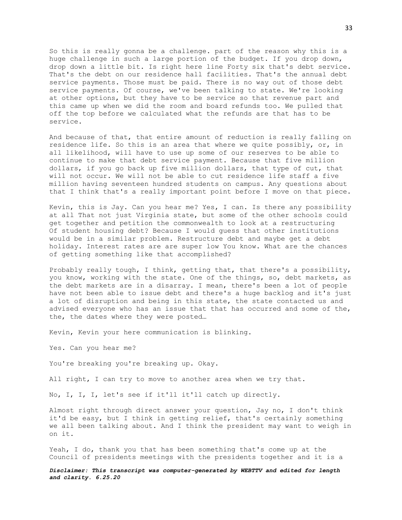So this is really gonna be a challenge. part of the reason why this is a huge challenge in such a large portion of the budget. If you drop down, drop down a little bit. Is right here line Forty six that's debt service. That's the debt on our residence hall facilities. That's the annual debt service payments. Those must be paid. There is no way out of those debt service payments. Of course, we've been talking to state. We're looking at other options, but they have to be service so that revenue part and this came up when we did the room and board refunds too. We pulled that off the top before we calculated what the refunds are that has to be service.

And because of that, that entire amount of reduction is really falling on residence life. So this is an area that where we quite possibly, or, in all likelihood, will have to use up some of our reserves to be able to continue to make that debt service payment. Because that five million dollars, if you go back up five million dollars, that type of cut, that will not occur. We will not be able to cut residence life staff a five million having seventeen hundred students on campus. Any questions about that I think that's a really important point before I move on that piece.

Kevin, this is Jay. Can you hear me? Yes, I can. Is there any possibility at all That not just Virginia state, but some of the other schools could get together and petition the commonwealth to look at a restructuring Of student housing debt? Because I would guess that other institutions would be in a similar problem. Restructure debt and maybe get a debt holiday. Interest rates are are super low You know. What are the chances of getting something like that accomplished?

Probably really tough, I think, getting that, that there's a possibility, you know, working with the state. One of the things, so, debt markets, as the debt markets are in a disarray. I mean, there's been a lot of people have not been able to issue debt and there's a huge backlog and it's just a lot of disruption and being in this state, the state contacted us and advised everyone who has an issue that that has occurred and some of the, the, the dates where they were posted…

Kevin, Kevin your here communication is blinking.

Yes. Can you hear me?

You're breaking you're breaking up. Okay.

All right, I can try to move to another area when we try that.

No, I, I, I, let's see if it'll it'll catch up directly.

Almost right through direct answer your question, Jay no, I don't think it'd be easy, but I think in getting relief, that's certainly something we all been talking about. And I think the president may want to weigh in on it.

Yeah, I do, thank you that has been something that's come up at the Council of presidents meetings with the presidents together and it is a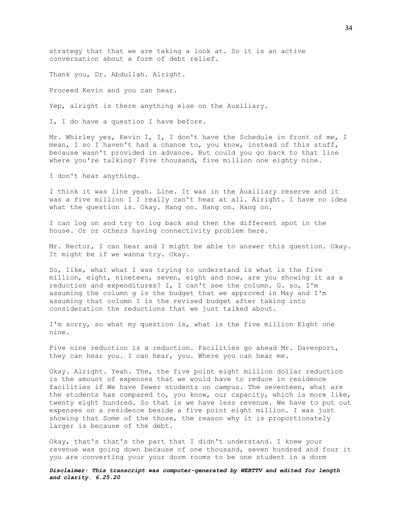strategy that that we are taking a look at. So it is an active conversation about a form of debt relief.

Thank you, Dr. Abdullah. Alright.

Proceed Kevin and you can hear.

Yep, alright is there anything else on the Auxiliary.

I, I do have a question I have before.

Mr. Whirley yes, Kevin I, I, I don't have the Schedule in front of me, I mean, I so I haven't had a chance to, you know, instead of this stuff, because wasn't provided in advance. But could you go back to that line where you're talking? Five thousand, five million one eighty nine.

I don't hear anything.

I think it was line yeah. Line. It was in the Auxiliary reserve and it was a five million I I really can't hear at all. Alright. I have no idea what the question is. Okay. Hang on. Hang on. Hang on.

I can log on and try to log back and then the different spot in the house. Or or others having connectivity problem here.

Mr. Rector, I can hear and I might be able to answer this question. Okay. It might be if we wanna try. Okay.

So, like, what what I was trying to understand is what is the five million, eight, nineteen, seven, eight and now, are you showing it as a reduction and expenditures? I, I can't see the column. G. so, I'm assuming the column g is the budget that we approved in May and I'm assuming that column I is the revised budget after taking into consideration the reductions that we just talked about.

I'm sorry, so what my question is, what is the five million Eight one nine.

Five nine reduction is a reduction. Facilities go ahead Mr. Davenport, they can hear you. I can hear, you. Where you can hear me.

Okay. Alright. Yeah. The, the five point eight million dollar reduction is the amount of expenses that we would have to reduce in residence facilities if We have fewer students on campus. The seventeen, what are the students has compared to, you know, our capacity, which is more like, twenty eight hundred. So that is we have less revenue. We have to put out expenses on a residence beside a five point eight million. I was just showing that Some of the those, the reason why it is proportionately larger is because of the debt.

Okay, that's that's the part that I didn't understand. I knew your revenue was going down because of one thousand, seven hundred and four it you are converting your your dorm rooms to be one student in a dorm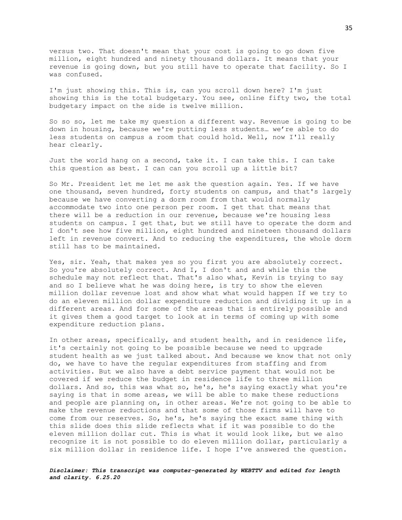versus two. That doesn't mean that your cost is going to go down five million, eight hundred and ninety thousand dollars. It means that your revenue is going down, but you still have to operate that facility. So I was confused.

I'm just showing this. This is, can you scroll down here? I'm just showing this is the total budgetary. You see, online fifty two, the total budgetary impact on the side is twelve million.

So so so, let me take my question a different way. Revenue is going to be down in housing, because we're putting less students… we're able to do less students on campus a room that could hold. Well, now I'll really hear clearly.

Just the world hang on a second, take it. I can take this. I can take this question as best. I can can you scroll up a little bit?

So Mr. President let me let me ask the question again. Yes. If we have one thousand, seven hundred, forty students on campus, and that's largely because we have converting a dorm room from that would normally accommodate two into one person per room. I get that that means that there will be a reduction in our revenue, because we're housing less students on campus. I get that, but we still have to operate the dorm and I don't see how five million, eight hundred and nineteen thousand dollars left in revenue convert. And to reducing the expenditures, the whole dorm still has to be maintained.

Yes, sir. Yeah, that makes yes so you first you are absolutely correct. So you're absolutely correct. And I, I don't and and while this the schedule may not reflect that. That's also what, Kevin is trying to say and so I believe what he was doing here, is try to show the eleven million dollar revenue lost and show what what would happen If we try to do an eleven million dollar expenditure reduction and dividing it up in a different areas. And for some of the areas that is entirely possible and it gives them a good target to look at in terms of coming up with some expenditure reduction plans.

In other areas, specifically, and student health, and in residence life, it's certainly not going to be possible because we need to upgrade student health as we just talked about. And because we know that not only do, we have to have the regular expenditures from staffing and from activities. But we also have a debt service payment that would not be covered if we reduce the budget in residence life to three million dollars. And so, this was what so, he's, he's saying exactly what you're saying is that in some areas, we will be able to make these reductions and people are planning on, in other areas. We're not going to be able to make the revenue reductions and that some of those firms will have to come from our reserves. So, he's, he's saying the exact same thing with this slide does this slide reflects what if it was possible to do the eleven million dollar cut. This is what it would look like, but we also recognize it is not possible to do eleven million dollar, particularly a six million dollar in residence life. I hope I've answered the question.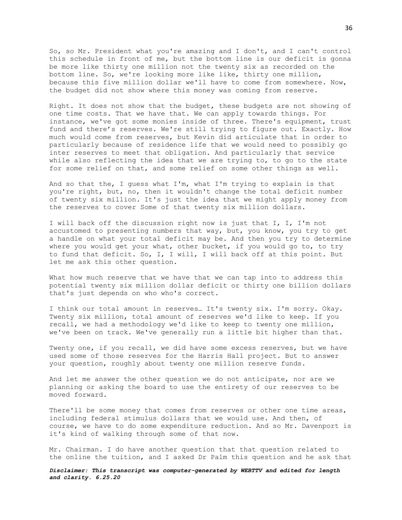So, so Mr. President what you're amazing and I don't, and I can't control this schedule in front of me, but the bottom line is our deficit is gonna be more like thirty one million not the twenty six as recorded on the bottom line. So, we're looking more like like, thirty one million, because this five million dollar we'll have to come from somewhere. Now, the budget did not show where this money was coming from reserve.

Right. It does not show that the budget, these budgets are not showing of one time costs. That we have that. We can apply towards things. For instance, we've got some monies inside of three. There's equipment, trust fund and there's reserves. We're still trying to figure out. Exactly. How much would come from reserves, but Kevin did articulate that in order to particularly because of residence life that we would need to possibly go inter reserves to meet that obligation. And particularly that service while also reflecting the idea that we are trying to, to go to the state for some relief on that, and some relief on some other things as well.

And so that the, I guess what I'm, what I'm trying to explain is that you're right, but, no, then it wouldn't change the total deficit number of twenty six million. It's just the idea that we might apply money from the reserves to cover Some of that twenty six million dollars.

I will back off the discussion right now is just that I, I, I'm not accustomed to presenting numbers that way, but, you know, you try to get a handle on what your total deficit may be. And then you try to determine where you would get your what, other bucket, if you would go to, to try to fund that deficit. So, I, I will, I will back off at this point. But let me ask this other question.

What how much reserve that we have that we can tap into to address this potential twenty six million dollar deficit or thirty one billion dollars that's just depends on who who's correct.

I think our total amount in reserves… It's twenty six. I'm sorry. Okay. Twenty six million, total amount of reserves we'd like to keep. If you recall, we had a methodology we'd like to keep to twenty one million, we've been on track. We've generally run a little bit higher than that.

Twenty one, if you recall, we did have some excess reserves, but we have used some of those reserves for the Harris Hall project. But to answer your question, roughly about twenty one million reserve funds.

And let me answer the other question we do not anticipate, nor are we planning or asking the board to use the entirety of our reserves to be moved forward.

There'll be some money that comes from reserves or other one time areas, including federal stimulus dollars that we would use. And then, of course, we have to do some expenditure reduction. And so Mr. Davenport is it's kind of walking through some of that now.

Mr. Chairman. I do have another question that that question related to the online the tuition, and I asked Dr Palm this question and he ask that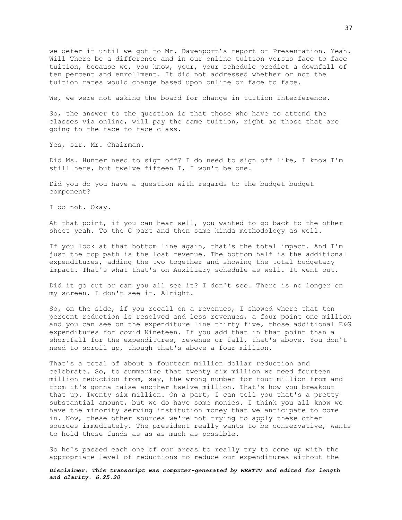we defer it until we got to Mr. Davenport's report or Presentation. Yeah. Will There be a difference and in our online tuition versus face to face tuition, because we, you know, your, your schedule predict a downfall of ten percent and enrollment. It did not addressed whether or not the tuition rates would change based upon online or face to face.

We, we were not asking the board for change in tuition interference.

So, the answer to the question is that those who have to attend the classes via online, will pay the same tuition, right as those that are going to the face to face class.

Yes, sir. Mr. Chairman.

Did Ms. Hunter need to sign off? I do need to sign off like, I know I'm still here, but twelve fifteen I, I won't be one.

Did you do you have a question with regards to the budget budget component?

I do not. Okay.

At that point, if you can hear well, you wanted to go back to the other sheet yeah. To the G part and then same kinda methodology as well.

If you look at that bottom line again, that's the total impact. And I'm just the top path is the lost revenue. The bottom half is the additional expenditures, adding the two together and showing the total budgetary impact. That's what that's on Auxiliary schedule as well. It went out.

Did it go out or can you all see it? I don't see. There is no longer on my screen. I don't see it. Alright.

So, on the side, if you recall on a revenues, I showed where that ten percent reduction is resolved and less revenues, a four point one million and you can see on the expenditure line thirty five, those additional E&G expenditures for covid Nineteen. If you add that in that point than a shortfall for the expenditures, revenue or fall, that's above. You don't need to scroll up, though that's above a four million.

That's a total of about a fourteen million dollar reduction and celebrate. So, to summarize that twenty six million we need fourteen million reduction from, say, the wrong number for four million from and from it's gonna raise another twelve million. That's how you breakout that up. Twenty six million. On a part, I can tell you that's a pretty substantial amount, but we do have some monies. I think you all know we have the minority serving institution money that we anticipate to come in. Now, these other sources we're not trying to apply these other sources immediately. The president really wants to be conservative, wants to hold those funds as as as much as possible.

So he's passed each one of our areas to really try to come up with the appropriate level of reductions to reduce our expenditures without the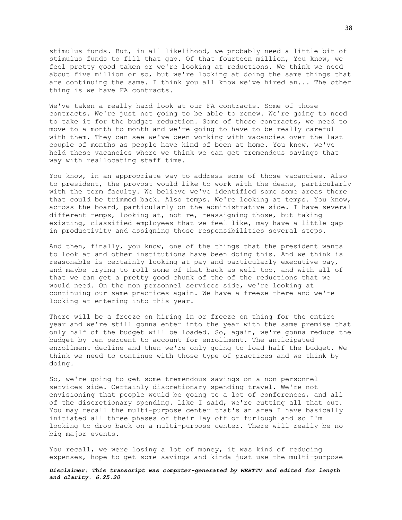stimulus funds. But, in all likelihood, we probably need a little bit of stimulus funds to fill that gap. Of that fourteen million, You know, we feel pretty good taken or we're looking at reductions. We think we need about five million or so, but we're looking at doing the same things that are continuing the same. I think you all know we've hired an... The other thing is we have FA contracts.

We've taken a really hard look at our FA contracts. Some of those contracts. We're just not going to be able to renew. We're going to need to take it for the budget reduction. Some of those contracts, we need to move to a month to month and we're going to have to be really careful with them. They can see we've been working with vacancies over the last couple of months as people have kind of been at home. You know, we've held these vacancies where we think we can get tremendous savings that way with reallocating staff time.

You know, in an appropriate way to address some of those vacancies. Also to president, the provost would like to work with the deans, particularly with the term faculty. We believe we've identified some some areas there that could be trimmed back. Also temps. We're looking at temps. You know, across the board, particularly on the administrative side. I have several different temps, looking at, not re, reassigning those, but taking existing, classified employees that we feel like, may have a little gap in productivity and assigning those responsibilities several steps.

And then, finally, you know, one of the things that the president wants to look at and other institutions have been doing this. And we think is reasonable is certainly looking at pay and particularly executive pay, and maybe trying to roll some of that back as well too, and with all of that we can get a pretty good chunk of the of the reductions that we would need. On the non personnel services side, we're looking at continuing our same practices again. We have a freeze there and we're looking at entering into this year.

There will be a freeze on hiring in or freeze on thing for the entire year and we're still gonna enter into the year with the same premise that only half of the budget will be loaded. So, again, we're gonna reduce the budget by ten percent to account for enrollment. The anticipated enrollment decline and then we're only going to load half the budget. We think we need to continue with those type of practices and we think by doing.

So, we're going to get some tremendous savings on a non personnel services side. Certainly discretionary spending travel. We're not envisioning that people would be going to a lot of conferences, and all of the discretionary spending. Like I said, we're cutting all that out. You may recall the multi-purpose center that's an area I have basically initiated all three phases of their lay off or furlough and so I'm looking to drop back on a multi-purpose center. There will really be no big major events.

You recall, we were losing a lot of money, it was kind of reducing expenses, hope to get some savings and kinda just use the multi-purpose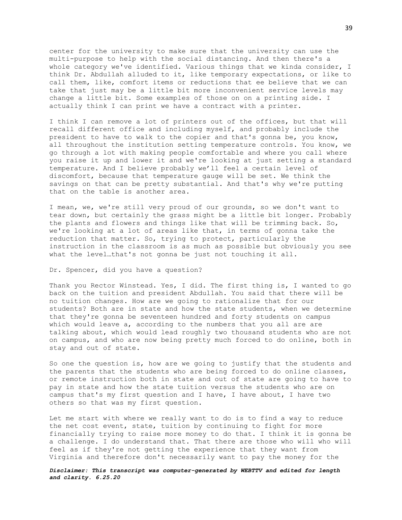center for the university to make sure that the university can use the multi-purpose to help with the social distancing. And then there's a whole category we've identified. Various things that we kinda consider, I think Dr. Abdullah alluded to it, like temporary expectations, or like to call them, like, comfort items or reductions that ee believe that we can take that just may be a little bit more inconvenient service levels may change a little bit. Some examples of those on on a printing side. I actually think I can print we have a contract with a printer.

I think I can remove a lot of printers out of the offices, but that will recall different office and including myself, and probably include the president to have to walk to the copier and that's gonna be, you know, all throughout the institution setting temperature controls. You know, we go through a lot with making people comfortable and where you call where you raise it up and lower it and we're looking at just setting a standard temperature. And I believe probably we'll feel a certain level of discomfort, because that temperature gauge will be set. We think the savings on that can be pretty substantial. And that's why we're putting that on the table is another area.

I mean, we, we're still very proud of our grounds, so we don't want to tear down, but certainly the grass might be a little bit longer. Probably the plants and flowers and things like that will be trimming back. So, we're looking at a lot of areas like that, in terms of gonna take the reduction that matter. So, trying to protect, particularly the instruction in the classroom is as much as possible but obviously you see what the level…that's not gonna be just not touching it all.

## Dr. Spencer, did you have a question?

Thank you Rector Winstead. Yes, I did. The first thing is, I wanted to go back on the tuition and president Abdullah. You said that there will be no tuition changes. How are we going to rationalize that for our students? Both are in state and how the state students, when we determine that they're gonna be seventeen hundred and forty students on campus which would leave a, according to the numbers that you all are are talking about, which would lead roughly two thousand students who are not on campus, and who are now being pretty much forced to do online, both in stay and out of state.

So one the question is, how are we going to justify that the students and the parents that the students who are being forced to do online classes, or remote instruction both in state and out of state are going to have to pay in state and how the state tuition versus the students who are on campus that's my first question and I have, I have about, I have two others so that was my first question.

Let me start with where we really want to do is to find a way to reduce the net cost event, state, tuition by continuing to fight for more financially trying to raise more money to do that. I think it is gonna be a challenge. I do understand that. That there are those who will who will feel as if they're not getting the experience that they want from Virginia and therefore don't necessarily want to pay the money for the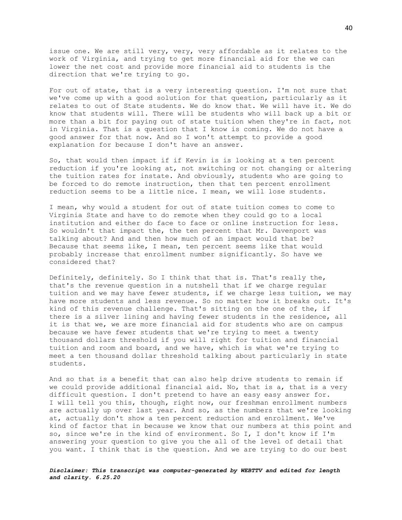issue one. We are still very, very, very affordable as it relates to the work of Virginia, and trying to get more financial aid for the we can lower the net cost and provide more financial aid to students is the direction that we're trying to go.

For out of state, that is a very interesting question. I'm not sure that we've come up with a good solution for that question, particularly as it relates to out of State students. We do know that. We will have it. We do know that students will. There will be students who will back up a bit or more than a bit for paying out of state tuition when they're in fact, not in Virginia. That is a question that I know is coming. We do not have a good answer for that now. And so I won't attempt to provide a good explanation for because I don't have an answer.

So, that would then impact if if Kevin is is looking at a ten percent reduction if you're looking at, not switching or not changing or altering the tuition rates for instate. And obviously, students who are going to be forced to do remote instruction, then that ten percent enrollment reduction seems to be a little nice. I mean, we will lose students.

I mean, why would a student for out of state tuition comes to come to Virginia State and have to do remote when they could go to a local institution and either do face to face or online instruction for less. So wouldn't that impact the, the ten percent that Mr. Davenport was talking about? And and then how much of an impact would that be? Because that seems like, I mean, ten percent seems like that would probably increase that enrollment number significantly. So have we considered that?

Definitely, definitely. So I think that that is. That's really the, that's the revenue question in a nutshell that if we charge regular tuition and we may have fewer students, if we charge less tuition, we may have more students and less revenue. So no matter how it breaks out. It's kind of this revenue challenge. That's sitting on the one of the, if there is a silver lining and having fewer students in the residence, all it is that we, we are more financial aid for students who are on campus because we have fewer students that we're trying to meet a twenty thousand dollars threshold if you will right for tuition and financial tuition and room and board, and we have, which is what we're trying to meet a ten thousand dollar threshold talking about particularly in state students.

And so that is a benefit that can also help drive students to remain if we could provide additional financial aid. No, that is a, that is a very difficult question. I don't pretend to have an easy easy answer for. I will tell you this, though, right now, our freshman enrollment numbers are actually up over last year. And so, as the numbers that we're looking at, actually don't show a ten percent reduction and enrollment. We've kind of factor that in because we know that our numbers at this point and so, since we're in the kind of environment. So I, I don't know if I'm answering your question to give you the all of the level of detail that you want. I think that is the question. And we are trying to do our best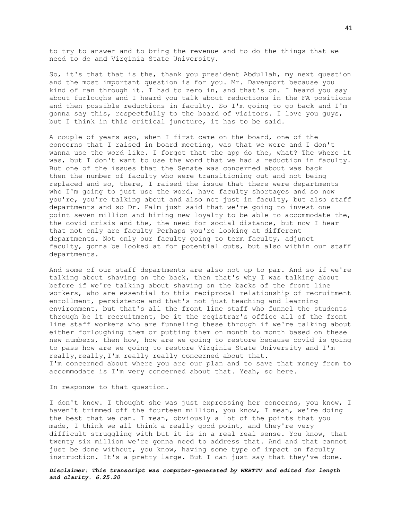to try to answer and to bring the revenue and to do the things that we need to do and Virginia State University.

So, it's that that is the, thank you president Abdullah, my next question and the most important question is for you. Mr. Davenport because you kind of ran through it. I had to zero in, and that's on. I heard you say about furloughs and I heard you talk about reductions in the FA positions and then possible reductions in faculty. So I'm going to go back and I'm gonna say this, respectfully to the board of visitors. I love you guys, but I think in this critical juncture, it has to be said.

A couple of years ago, when I first came on the board, one of the concerns that I raised in board meeting, was that we were and I don't wanna use the word like. I forgot that the app do the, what? The where it was, but I don't want to use the word that we had a reduction in faculty. But one of the issues that the Senate was concerned about was back then the number of faculty who were transitioning out and not being replaced and so, there, I raised the issue that there were departments who I'm going to just use the word, have faculty shortages and so now you're, you're talking about and also not just in faculty, but also staff departments and so Dr. Palm just said that we're going to invest one point seven million and hiring new loyalty to be able to accommodate the, the covid crisis and the, the need for social distance, but now I hear that not only are faculty Perhaps you're looking at different departments. Not only our faculty going to term faculty, adjunct faculty, gonna be looked at for potential cuts, but also within our staff departments.

And some of our staff departments are also not up to par. And so if we're talking about shaving on the back, then that's why I was talking about before if we're talking about shaving on the backs of the front line workers, who are essential to this reciprocal relationship of recruitment enrollment, persistence and that's not just teaching and learning environment, but that's all the front line staff who funnel the students through be it recruitment, be it the registrar's office all of the front line staff workers who are funneling these through if we're talking about either forloughing them or putting them on month to month based on these new numbers, then how, how are we going to restore because covid is going to pass how are we going to restore Virginia State University and I'm really, really, I'm really really concerned about that. I'm concerned about where you are our plan and to save that money from to accommodate is I'm very concerned about that. Yeah, so here.

In response to that question.

I don't know. I thought she was just expressing her concerns, you know, I haven't trimmed off the fourteen million, you know, I mean, we're doing the best that we can. I mean, obviously a lot of the points that you made, I think we all think a really good point, and they're very difficult struggling with but it is in a real real sense. You know, that twenty six million we're gonna need to address that. And and that cannot just be done without, you know, having some type of impact on faculty instruction. It's a pretty large. But I can just say that they've done.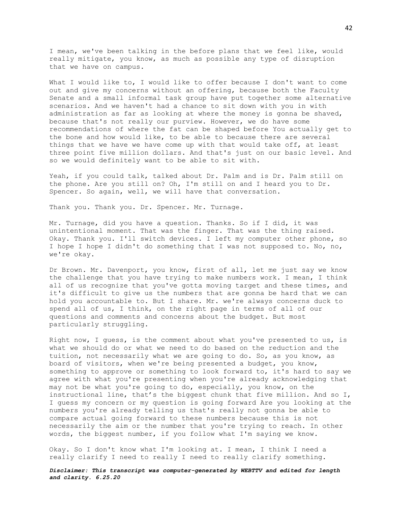I mean, we've been talking in the before plans that we feel like, would really mitigate, you know, as much as possible any type of disruption that we have on campus.

What I would like to, I would like to offer because I don't want to come out and give my concerns without an offering, because both the Faculty Senate and a small informal task group have put together some alternative scenarios. And we haven't had a chance to sit down with you in with administration as far as looking at where the money is gonna be shaved, because that's not really our purview. However, we do have some recommendations of where the fat can be shaped before You actually get to the bone and how would like, to be able to because there are several things that we have we have come up with that would take off, at least three point five million dollars. And that's just on our basic level. And so we would definitely want to be able to sit with.

Yeah, if you could talk, talked about Dr. Palm and is Dr. Palm still on the phone. Are you still on? Oh, I'm still on and I heard you to Dr. Spencer. So again, well, we will have that conversation.

Thank you. Thank you. Dr. Spencer. Mr. Turnage.

Mr. Turnage, did you have a question. Thanks. So if I did, it was unintentional moment. That was the finger. That was the thing raised. Okay. Thank you. I'll switch devices. I left my computer other phone, so I hope I hope I didn't do something that I was not supposed to. No, no, we're okay.

Dr Brown. Mr. Davenport, you know, first of all, let me just say we know the challenge that you have trying to make numbers work. I mean, I think all of us recognize that you've gotta moving target and these times, and it's difficult to give us the numbers that are gonna be hard that we can hold you accountable to. But I share. Mr. we're always concerns duck to spend all of us, I think, on the right page in terms of all of our questions and comments and concerns about the budget. But most particularly struggling.

Right now, I guess, is the comment about what you've presented to us, is what we should do or what we need to do based on the reduction and the tuition, not necessarily what we are going to do. So, as you know, as board of visitors, when we're being presented a budget, you know, something to approve or something to look forward to, it's hard to say we agree with what you're presenting when you're already acknowledging that may not be what you're going to do, especially, you know, on the instructional line, that's the biggest chunk that five million. And so I, I guess my concern or my question is going forward Are you looking at the numbers you're already telling us that's really not gonna be able to compare actual going forward to these numbers because this is not necessarily the aim or the number that you're trying to reach. In other words, the biggest number, if you follow what I'm saying we know.

Okay. So I don't know what I'm looking at. I mean, I think I need a really clarify I need to really I need to really clarify something.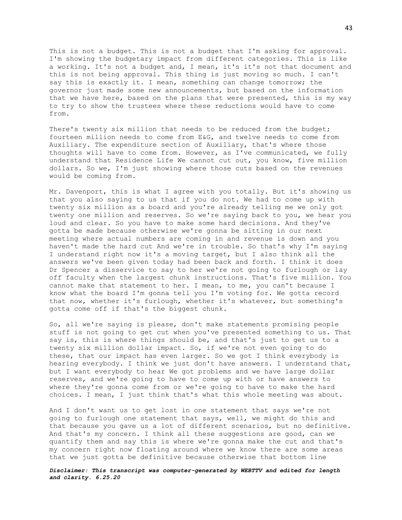This is not a budget. This is not a budget that I'm asking for approval. I'm showing the budgetary impact from different categories. This is like a working. It's not a budget and, I mean, it's it's not that document and this is not being approval. This thing is just moving so much. I can't say this is exactly it. I mean, something can change tomorrow; the governor just made some new announcements, but based on the information that we have here, based on the plans that were presented, this is my way to try to show the trustees where these reductions would have to come from.

There's twenty six million that needs to be reduced from the budget; fourteen million needs to come from E&G, and twelve needs to come from Auxiliary. The expenditure section of Auxiliary, that's where those thoughts will have to come from. However, as I've communicated, we fully understand that Residence Life We cannot cut out, you know, five million dollars. So we, I'm just showing where those cuts based on the revenues would be coming from.

Mr. Davenport, this is what I agree with you totally. But it's showing us that you also saying to us that if you do not. We had to come up with twenty six million as a board and you're already telling me we only got twenty one million and reserves. So we're saying back to you, we hear you loud and clear. So you have to make some hard decisions. And they've gotta be made because otherwise we're gonna be sitting in our next meeting where actual numbers are coming in and revenue is down and you haven't made the hard cut And we're in trouble. So that's why I'm saying I understand right now it's a moving target, but I also think all the answers we've been given today had been back and forth. I think it does Dr Spencer a disservice to say to her we're not going to furlough or lay off faculty when the largest chunk instructions. That's five million. You cannot make that statement to her. I mean, to me, you can't because I know what the board I'm gonna tell you I'm voting for. We gotta record that now, whether it's furlough, whether it's whatever, but something's gotta come off if that's the biggest chunk.

So, all we're saying is please, don't make statements promising people stuff is not going to get cut when you've presented something to us. That say is, this is where things should be, and that's just to get us to a twenty six million dollar impact. So, if we're not even going to do these, that our impact has even larger. So we got I think everybody is hearing everybody. I think we just don't have answers. I understand that, but I want everybody to hear We got problems and we have large dollar reserves, and we're going to have to come up with or have answers to where they're gonna come from or we're going to have to make the hard choices. I mean, I just think that's what this whole meeting was about.

And I don't want us to get lost in one statement that says we're not going to furlough one statement that says, well, we might do this and that because you gave us a lot of different scenarios, but no definitive. And that's my concern. I think all these suggestions are good, can we quantify them and say this is where we're gonna make the cut and that's my concern right now floating around where we know there are some areas that we just gotta be definitive because otherwise that bottom line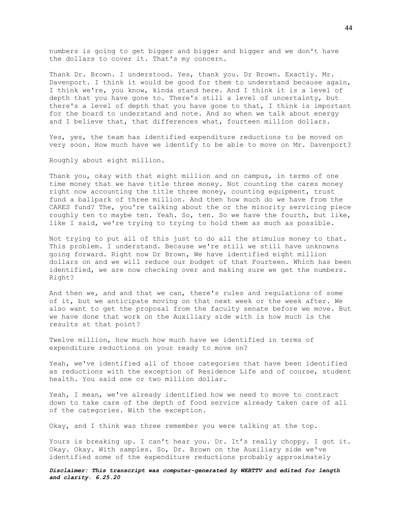numbers is going to get bigger and bigger and bigger and we don't have the dollars to cover it. That's my concern.

Thank Dr. Brown. I understood. Yes, thank you. Dr Brown. Exactly. Mr. Davenport. I think it would be good for them to understand because again, I think we're, you know, kinda stand here. And I think it is a level of depth that you have gone to. There's still a level of uncertainty, but there's a level of depth that you have gone to that, I think is important for the board to understand and note. And so when we talk about energy and I believe that, that differences what, fourteen million dollars.

Yes, yes, the team has identified expenditure reductions to be moved on very soon. How much have we identify to be able to move on Mr. Davenport?

Roughly about eight million.

Thank you, okay with that eight million and on campus, in terms of one time money that we have title three money. Not counting the cares money right now accounting the title three money, counting equipment, trust fund a ballpark of three million. And then how much do we have from the CARES fund? The, you're talking about the or the minority servicing piece roughly ten to maybe ten. Yeah. So, ten. So we have the fourth, but like, like I said, we're trying to trying to hold them as much as possible.

Not trying to put all of this just to do all the stimulus money to that. This problem. I understand. Because we're still we still have unknowns going forward. Right now Dr Brown, We have identified eight million dollars on and we will reduce our budget of that Fourteen. Which has been identified, we are now checking over and making sure we get the numbers. Right?

And then we, and and that we can, there's rules and regulations of some of it, but we anticipate moving on that next week or the week after. We also want to get the proposal from the faculty senate before we move. But we have done that work on the Auxiliary side with is how much is the results at that point?

Twelve million, how much how much have we identified in terms of expenditure reductions on your ready to move on?

Yeah, we've identified all of those categories that have been identified as reductions with the exception of Residence Life and of course, student health. You said one or two million dollar.

Yeah, I mean, we've already identified how we need to move to contract down to take care of the depth of food service already taken care of all of the categories. With the exception.

Okay, and I think was three remember you were talking at the top.

Yours is breaking up. I can't hear you. Dr. It's really choppy. I got it. Okay. Okay. With samples. So, Dr. Brown on the Auxiliary side we've identified some of the expenditure reductions probably approximately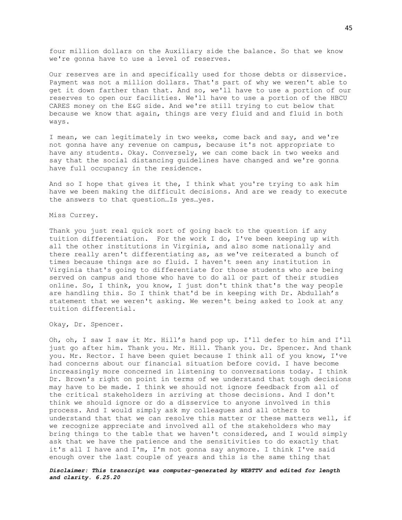four million dollars on the Auxiliary side the balance. So that we know we're gonna have to use a level of reserves.

Our reserves are in and specifically used for those debts or disservice. Payment was not a million dollars. That's part of why we weren't able to get it down farther than that. And so, we'll have to use a portion of our reserves to open our facilities. We'll have to use a portion of the HBCU CARES money on the E&G side. And we're still trying to cut below that because we know that again, things are very fluid and and fluid in both ways.

I mean, we can legitimately in two weeks, come back and say, and we're not gonna have any revenue on campus, because it's not appropriate to have any students. Okay. Conversely, we can come back in two weeks and say that the social distancing guidelines have changed and we're gonna have full occupancy in the residence.

And so I hope that gives it the, I think what you're trying to ask him have we been making the difficult decisions. And are we ready to execute the answers to that question…Is yes…yes.

## Miss Currey.

Thank you just real quick sort of going back to the question if any tuition differentiation. For the work I do, I've been keeping up with all the other institutions in Virginia, and also some nationally and there really aren't differentiating as, as we've reiterated a bunch of times because things are so fluid. I haven't seen any institution in Virginia that's going to differentiate for those students who are being served on campus and those who have to do all or part of their studies online. So, I think, you know, I just don't think that's the way people are handling this. So I think that'd be in keeping with Dr. Abdullah's statement that we weren't asking. We weren't being asked to look at any tuition differential.

Okay, Dr. Spencer.

Oh, oh, I saw I saw it Mr. Hill's hand pop up. I'll defer to him and I'll just go after him. Thank you. Mr. Hill. Thank you. Dr. Spencer. And thank you. Mr. Rector. I have been quiet because I think all of you know, I've had concerns about our financial situation before covid. I have become increasingly more concerned in listening to conversations today. I think Dr. Brown's right on point in terms of we understand that tough decisions may have to be made. I think we should not ignore feedback from all of the critical stakeholders in arriving at those decisions. And I don't think we should ignore or do a disservice to anyone involved in this process. And I would simply ask my colleagues and all others to understand that that we can resolve this matter or these matters well, if we recognize appreciate and involved all of the stakeholders who may bring things to the table that we haven't considered, and I would simply ask that we have the patience and the sensitivities to do exactly that it's all I have and I'm, I'm not gonna say anymore. I think I've said enough over the last couple of years and this is the same thing that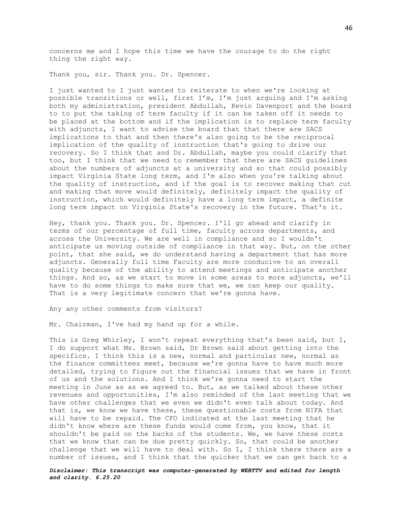concerns me and I hope this time we have the courage to do the right thing the right way.

Thank you, sir. Thank you. Dr. Spencer.

I just wanted to I just wanted to reiterate to when we're looking at possible transitions or well, first I'm, I'm just arguing and I'm asking both my administration, president Abdullah, Kevin Davenport and the board to to put the taking of term faculty if it can be taken off it needs to be placed at the bottom and if the implication is to replace term faculty with adjuncts, I want to advise the board that that there are SACS implications to that and then there's also going to be the reciprocal implication of the quality of instruction that's going to drive our recovery. So I think that and Dr. Abdullah, maybe you could clarify that too, but I think that we need to remember that there are SACS guidelines about the numbers of adjuncts at a university and so that could possibly impact Virginia State long term, and I'm also when you're talking about the quality of instruction, and if the goal is to recover making that cut and making that move would definitely, definitely impact the quality of instruction, which would definitely have a long term impact, a definite long term impact on Virginia State's recovery in the future. That's it.

Hey, thank you. Thank you. Dr. Spencer. I'll go ahead and clarify in terms of our percentage of full time, faculty across departments, and across the University. We are well in compliance and so I wouldn't anticipate us moving outside of compliance in that way. But, on the other point, that she said, we do understand having a department that has more adjuncts. Generally full time Faculty are more conducive to an overall quality because of the ability to attend meetings and anticipate another things. And so, as we start to move in some areas to more adjuncts, we'll have to do some things to make sure that we, we can keep our quality. That is a very legitimate concern that we're gonna have.

Any any other comments from visitors?

Mr. Chairman, I've had my hand up for a while.

This is Greg Whirley, I won't repeat everything that's been said, but I, I do support what Ms. Brown said, Dr Brown said about getting into the specifics. I think this is a new, normal and particular new, normal as the finance committees meet, because we're gonna have to have much more detailed, trying to figure out the financial issues that we have in front of us and the solutions. And I think we're gonna need to start the meeting in June as as we agreed to. But, as we talked about these other revenues and opportunities, I'm also reminded of the last meeting that we have other challenges that we even we didn't even talk about today. And that is, we know we have these, these questionable costs from NIFA that will have to be repaid. The CFO indicated at the last meeting that he didn't know where are these funds would come from, you know, that it shouldn't be paid on the backs of the students. We, we have these costs that we know that can be due pretty quickly. So, that could be another challenge that we will have to deal with. So I, I think there there are a number of issues, and I think that the quicker that we can get back to a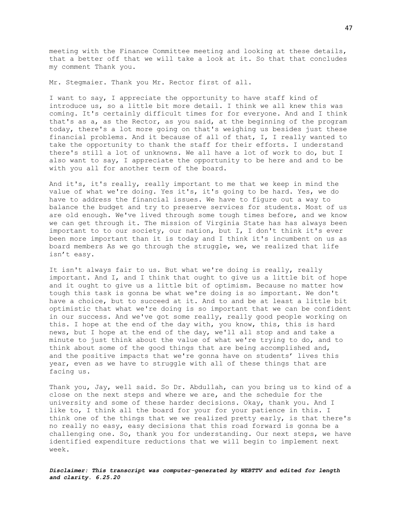meeting with the Finance Committee meeting and looking at these details, that a better off that we will take a look at it. So that that concludes my comment Thank you.

Mr. Stegmaier. Thank you Mr. Rector first of all.

I want to say, I appreciate the opportunity to have staff kind of introduce us, so a little bit more detail. I think we all knew this was coming. It's certainly difficult times for for everyone. And and I think that's as a, as the Rector, as you said, at the beginning of the program today, there's a lot more going on that's weighing us besides just these financial problems. And it because of all of that, I, I really wanted to take the opportunity to thank the staff for their efforts. I understand there's still a lot of unknowns. We all have a lot of work to do, but I also want to say, I appreciate the opportunity to be here and and to be with you all for another term of the board.

And it's, it's really, really important to me that we keep in mind the value of what we're doing. Yes it's, it's going to be hard. Yes, we do have to address the financial issues. We have to figure out a way to balance the budget and try to preserve services for students. Most of us are old enough. We've lived through some tough times before, and we know we can get through it. The mission of Virginia State has has always been important to to our society, our nation, but I, I don't think it's ever been more important than it is today and I think it's incumbent on us as board members As we go through the struggle, we, we realized that life isn't easy.

It isn't always fair to us. But what we're doing is really, really important. And I, and I think that ought to give us a little bit of hope and it ought to give us a little bit of optimism. Because no matter how tough this task is gonna be what we're doing is so important. We don't have a choice, but to succeed at it. And to and be at least a little bit optimistic that what we're doing is so important that we can be confident in our success. And we've got some really, really good people working on this. I hope at the end of the day with, you know, this, this is hard news, but I hope at the end of the day, we'll all stop and and take a minute to just think about the value of what we're trying to do, and to think about some of the good things that are being accomplished and, and the positive impacts that we're gonna have on students' lives this year, even as we have to struggle with all of these things that are facing us.

Thank you, Jay, well said. So Dr. Abdullah, can you bring us to kind of a close on the next steps and where we are, and the schedule for the university and some of these harder decisions. Okay, thank you. And I like to, I think all the board for your for your patience in this. I think one of the things that we we realized pretty early, is that there's no really no easy, easy decisions that this road forward is gonna be a challenging one. So, thank you for understanding. Our next steps, we have identified expenditure reductions that we will begin to implement next week.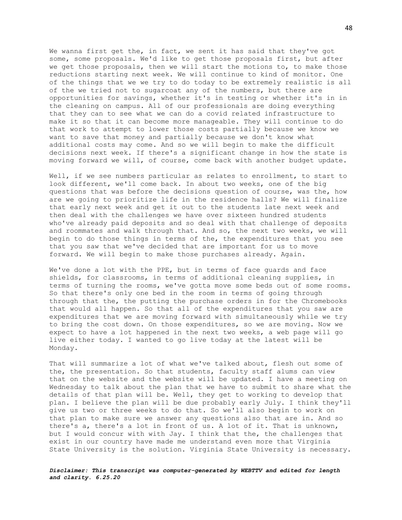We wanna first get the, in fact, we sent it has said that they've got some, some proposals. We'd like to get those proposals first, but after we get those proposals, then we will start the motions to, to make those reductions starting next week. We will continue to kind of monitor. One of the things that we we try to do today to be extremely realistic is all of the we tried not to sugarcoat any of the numbers, but there are opportunities for savings, whether it's in testing or whether it's in in the cleaning on campus. All of our professionals are doing everything that they can to see what we can do a covid related infrastructure to make it so that it can become more manageable. They will continue to do that work to attempt to lower those costs partially because we know we want to save that money and partially because we don't know what additional costs may come. And so we will begin to make the difficult decisions next week. If there's a significant change in how the state is moving forward we will, of course, come back with another budget update.

Well, if we see numbers particular as relates to enrollment, to start to look different, we'll come back. In about two weeks, one of the big questions that was before the decisions question of course, was the, how are we going to prioritize life in the residence halls? We will finalize that early next week and get it out to the students late next week and then deal with the challenges we have over sixteen hundred students who've already paid deposits and so deal with that challenge of deposits and roommates and walk through that. And so, the next two weeks, we will begin to do those things in terms of the, the expenditures that you see that you saw that we've decided that are important for us to move forward. We will begin to make those purchases already. Again.

We've done a lot with the PPE, but in terms of face guards and face shields, for classrooms, in terms of additional cleaning supplies, in terms of turning the rooms, we've gotta move some beds out of some rooms. So that there's only one bed in the room in terms of going through through that the, the putting the purchase orders in for the Chromebooks that would all happen. So that all of the expenditures that you saw are expenditures that we are moving forward with simultaneously while we try to bring the cost down. On those expenditures, so we are moving. Now we expect to have a lot happened in the next two weeks, a web page will go live either today. I wanted to go live today at the latest will be Monday.

That will summarize a lot of what we've talked about, flesh out some of the, the presentation. So that students, faculty staff alums can view that on the website and the website will be updated. I have a meeting on Wednesday to talk about the plan that we have to submit to share what the details of that plan will be. Well, they get to working to develop that plan. I believe the plan will be due probably early July. I think they'll give us two or three weeks to do that. So we'll also begin to work on that plan to make sure we answer any questions also that are in. And so there's a, there's a lot in front of us. A lot of it. That is unknown, but I would concur with with Jay. I think that the, the challenges that exist in our country have made me understand even more that Virginia State University is the solution. Virginia State University is necessary.